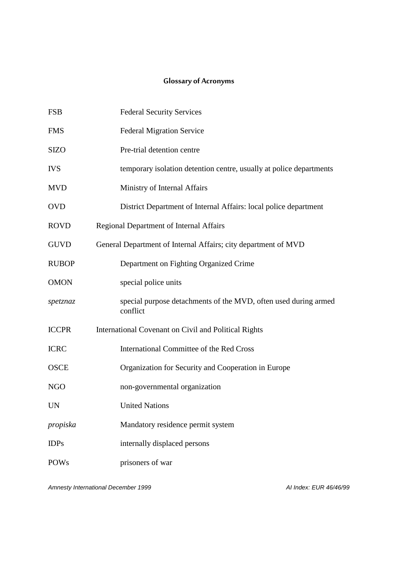#### **Glossary of Acronyms**

| <b>FSB</b>   | <b>Federal Security Services</b>                                            |
|--------------|-----------------------------------------------------------------------------|
| <b>FMS</b>   | <b>Federal Migration Service</b>                                            |
| <b>SIZO</b>  | Pre-trial detention centre                                                  |
| <b>IVS</b>   | temporary isolation detention centre, usually at police departments         |
| <b>MVD</b>   | Ministry of Internal Affairs                                                |
| <b>OVD</b>   | District Department of Internal Affairs: local police department            |
| <b>ROVD</b>  | Regional Department of Internal Affairs                                     |
| <b>GUVD</b>  | General Department of Internal Affairs; city department of MVD              |
| <b>RUBOP</b> | Department on Fighting Organized Crime                                      |
| <b>OMON</b>  | special police units                                                        |
| spetznaz     | special purpose detachments of the MVD, often used during armed<br>conflict |
| <b>ICCPR</b> | International Covenant on Civil and Political Rights                        |
| <b>ICRC</b>  | International Committee of the Red Cross                                    |
| <b>OSCE</b>  | Organization for Security and Cooperation in Europe                         |
| <b>NGO</b>   | non-governmental organization                                               |
| UN           | <b>United Nations</b>                                                       |
| propiska     | Mandatory residence permit system                                           |
| <b>IDPs</b>  | internally displaced persons                                                |
| <b>POWs</b>  | prisoners of war                                                            |

*Amnesty International December 1999 AI Index: EUR 46/46/99*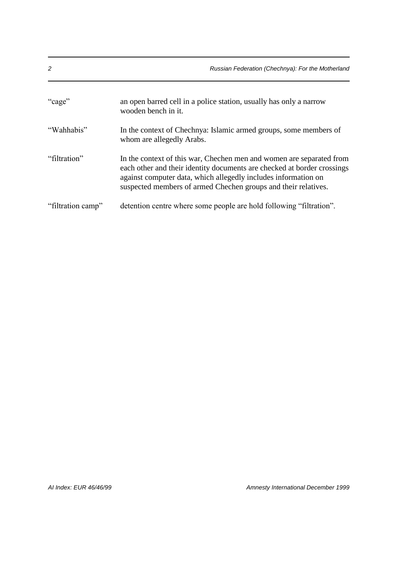| 2                 | Russian Federation (Chechnya): For the Motherland                                                                                               |
|-------------------|-------------------------------------------------------------------------------------------------------------------------------------------------|
| "cage"            | an open barred cell in a police station, usually has only a narrow<br>wooden bench in it.                                                       |
| "Wahhabis"        | In the context of Chechnya: Islamic armed groups, some members of<br>whom are allegedly Arabs.                                                  |
| "filtration"      | In the context of this war, Chechen men and women are separated from<br>each other and their identity documents are checked at border crossings |
|                   | against computer data, which allegedly includes information on<br>suspected members of armed Chechen groups and their relatives.                |
| "filtration camp" | detention centre where some people are hold following "filtration".                                                                             |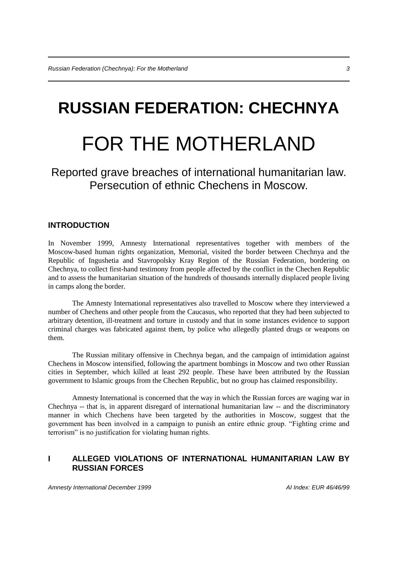# **RUSSIAN FEDERATION: CHECHNYA**

## FOR THE MOTHERLAND

Reported grave breaches of international humanitarian law. Persecution of ethnic Chechens in Moscow.

#### **INTRODUCTION**

In November 1999, Amnesty International representatives together with members of the Moscow-based human rights organization, Memorial, visited the border between Chechnya and the Republic of Ingushetia and Stavropolsky Kray Region of the Russian Federation, bordering on Chechnya, to collect first-hand testimony from people affected by the conflict in the Chechen Republic and to assess the humanitarian situation of the hundreds of thousands internally displaced people living in camps along the border.

The Amnesty International representatives also travelled to Moscow where they interviewed a number of Chechens and other people from the Caucasus, who reported that they had been subjected to arbitrary detention, ill-treatment and torture in custody and that in some instances evidence to support criminal charges was fabricated against them, by police who allegedly planted drugs or weapons on them.

The Russian military offensive in Chechnya began, and the campaign of intimidation against Chechens in Moscow intensified, following the apartment bombings in Moscow and two other Russian cities in September, which killed at least 292 people. These have been attributed by the Russian government to Islamic groups from the Chechen Republic, but no group has claimed responsibility.

Amnesty International is concerned that the way in which the Russian forces are waging war in Chechnya -- that is, in apparent disregard of international humanitarian law -- and the discriminatory manner in which Chechens have been targeted by the authorities in Moscow, suggest that the government has been involved in a campaign to punish an entire ethnic group. "Fighting crime and terrorism" is no justification for violating human rights.

#### **I ALLEGED VIOLATIONS OF INTERNATIONAL HUMANITARIAN LAW BY RUSSIAN FORCES**

*Amnesty International December 1999 AI Index: EUR 46/46/99*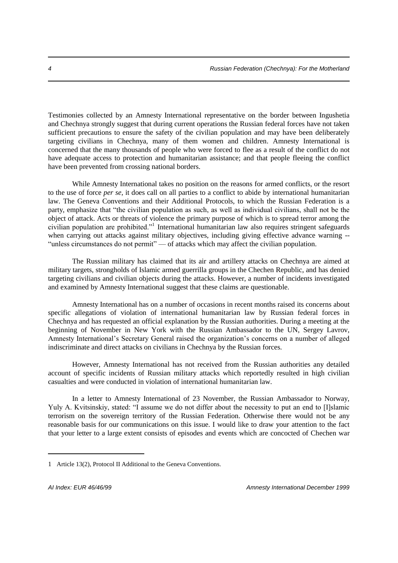Testimonies collected by an Amnesty International representative on the border between Ingushetia and Chechnya strongly suggest that during current operations the Russian federal forces have not taken sufficient precautions to ensure the safety of the civilian population and may have been deliberately targeting civilians in Chechnya, many of them women and children. Amnesty International is concerned that the many thousands of people who were forced to flee as a result of the conflict do not have adequate access to protection and humanitarian assistance; and that people fleeing the conflict have been prevented from crossing national borders.

While Amnesty International takes no position on the reasons for armed conflicts, or the resort to the use of force *per se*, it does call on all parties to a conflict to abide by international humanitarian law. The Geneva Conventions and their Additional Protocols, to which the Russian Federation is a party, emphasize that "the civilian population as such, as well as individual civilians, shall not be the object of attack. Acts or threats of violence the primary purpose of which is to spread terror among the civilian population are prohibited."<sup>1</sup> International humanitarian law also requires stringent safeguards when carrying out attacks against military objectives, including giving effective advance warning --"unless circumstances do not permit" — of attacks which may affect the civilian population.

The Russian military has claimed that its air and artillery attacks on Chechnya are aimed at military targets, strongholds of Islamic armed guerrilla groups in the Chechen Republic, and has denied targeting civilians and civilian objects during the attacks. However, a number of incidents investigated and examined by Amnesty International suggest that these claims are questionable.

Amnesty International has on a number of occasions in recent months raised its concerns about specific allegations of violation of international humanitarian law by Russian federal forces in Chechnya and has requested an official explanation by the Russian authorities. During a meeting at the beginning of November in New York with the Russian Ambassador to the UN, Sergey Lavrov, Amnesty International's Secretary General raised the organization's concerns on a number of alleged indiscriminate and direct attacks on civilians in Chechnya by the Russian forces.

However, Amnesty International has not received from the Russian authorities any detailed account of specific incidents of Russian military attacks which reportedly resulted in high civilian casualties and were conducted in violation of international humanitarian law.

In a letter to Amnesty International of 23 November, the Russian Ambassador to Norway, Yuly A. Kvitsinskiy, stated: "I assume we do not differ about the necessity to put an end to [I]slamic terrorism on the sovereign territory of the Russian Federation. Otherwise there would not be any reasonable basis for our communications on this issue. I would like to draw your attention to the fact that your letter to a large extent consists of episodes and events which are concocted of Chechen war

<sup>1</sup> Article 13(2), Protocol II Additional to the Geneva Conventions.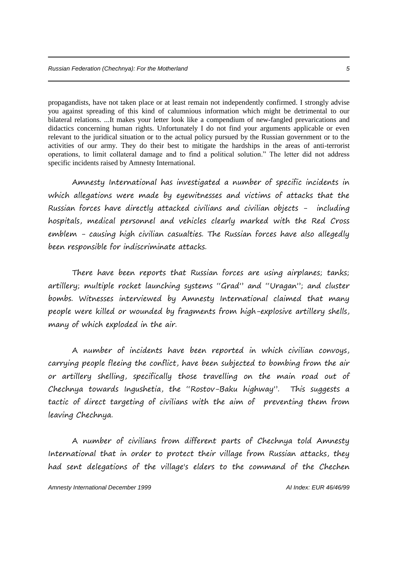propagandists, have not taken place or at least remain not independently confirmed. I strongly advise you against spreading of this kind of calumnious information which might be detrimental to our bilateral relations. ...It makes your letter look like a compendium of new-fangled prevarications and didactics concerning human rights. Unfortunately I do not find your arguments applicable or even relevant to the juridical situation or to the actual policy pursued by the Russian government or to the activities of our army. They do their best to mitigate the hardships in the areas of anti-terrorist operations, to limit collateral damage and to find a political solution." The letter did not address specific incidents raised by Amnesty International.

Amnesty International has investigated a number of specific incidents in which allegations were made by eyewitnesses and victims of attacks that the Russian forces have directly attacked civilians and civilian objects - including hospitals, medical personnel and vehicles clearly marked with the Red Cross emblem - causing high civilian casualties. The Russian forces have also allegedly been responsible for indiscriminate attacks.

There have been reports that Russian forces are using airplanes; tanks; artillery; multiple rocket launching systems "Grad" and "Uragan"; and cluster bombs. Witnesses interviewed by Amnesty International claimed that many people were killed or wounded by fragments from high-explosive artillery shells, many of which exploded in the air.

A number of incidents have been reported in which civilian convoys, carrying people fleeing the conflict, have been subjected to bombing from the air or artillery shelling, specifically those travelling on the main road out of Chechnya towards Ingushetia, the "Rostov-Baku highway". This suggests a tactic of direct targeting of civilians with the aim of preventing them from leaving Chechnya.

A number of civilians from different parts of Chechnya told Amnesty International that in order to protect their village from Russian attacks, they had sent delegations of the village's elders to the command of the Chechen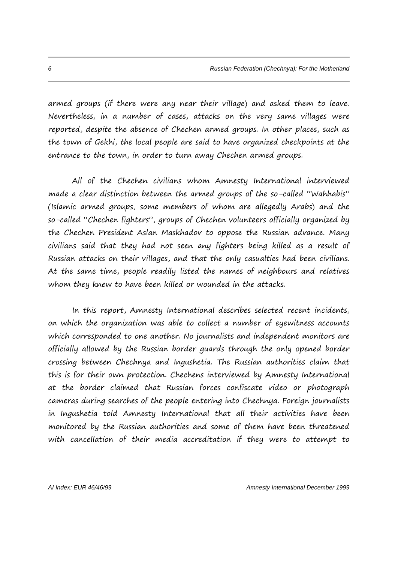armed groups (if there were any near their village) and asked them to leave. Nevertheless, in a number of cases, attacks on the very same villages were reported, despite the absence of Chechen armed groups. In other places, such as the town of Gekhi, the local people are said to have organized checkpoints at the entrance to the town, in order to turn away Chechen armed groups.

All of the Chechen civilians whom Amnesty International interviewed made a clear distinction between the armed groups of the so-called "Wahhabis" (Islamic armed groups, some members of whom are allegedly Arabs) and the so-called "Chechen fighters", groups of Chechen volunteers officially organized by the Chechen President Aslan Maskhadov to oppose the Russian advance. Many civilians said that they had not seen any fighters being killed as a result of Russian attacks on their villages, and that the only casualties had been civilians. At the same time, people readily listed the names of neighbours and relatives whom they knew to have been killed or wounded in the attacks.

In this report, Amnesty International describes selected recent incidents, on which the organization was able to collect a number of eyewitness accounts which corresponded to one another. No journalists and independent monitors are officially allowed by the Russian border guards through the only opened border crossing between Chechnya and Ingushetia. The Russian authorities claim that this is for their own protection. Chechens interviewed by Amnesty International at the border claimed that Russian forces confiscate video or photograph cameras during searches of the people entering into Chechnya. Foreign journalists in Ingushetia told Amnesty International that all their activities have been monitored by the Russian authorities and some of them have been threatened with cancellation of their media accreditation if they were to attempt to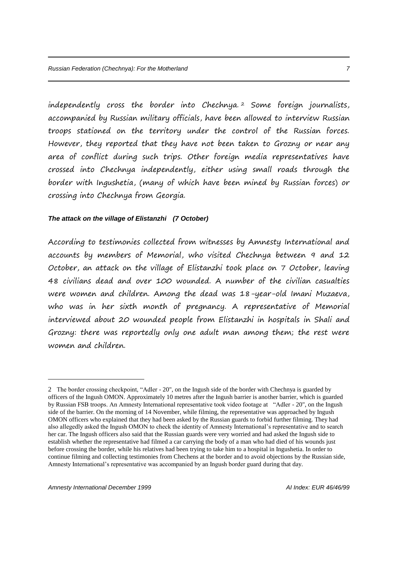independently cross the border into Chechnya. <sup>2</sup> Some foreign journalists, accompanied by Russian military officials, have been allowed to interview Russian troops stationed on the territory under the control of the Russian forces. However, they reported that they have not been taken to Grozny or near any area of conflict during such trips. Other foreign media representatives have crossed into Chechnya independently, either using small roads through the border with Ingushetia, (many of which have been mined by Russian forces) or crossing into Chechnya from Georgia.

#### *The attack on the village of Elistanzhi (7 October)*

According to testimonies collected from witnesses by Amnesty International and accounts by members of Memorial, who visited Chechnya between 9 and 12 October, an attack on the village of Elistanzhi took place on 7 October, leaving 48 civilians dead and over 100 wounded. A number of the civilian casualties were women and children. Among the dead was 18-year-old Imani Muzaeva, who was in her sixth month of pregnancy. A representative of Memorial interviewed about 20 wounded people from Elistanzhi in hospitals in Shali and Grozny: there was reportedly only one adult man among them; the rest were women and children.

<sup>2</sup> The border crossing checkpoint, "Adler - 20", on the Ingush side of the border with Chechnya is guarded by officers of the Ingush OMON. Approximately 10 metres after the Ingush barrier is another barrier, which is guarded by Russian FSB troops. An Amnesty International representative took video footage at "Adler - 20", on the Ingush side of the barrier. On the morning of 14 November, while filming, the representative was approached by Ingush OMON officers who explained that they had been asked by the Russian guards to forbid further filming. They had also allegedly asked the Ingush OMON to check the identity of Amnesty International's representative and to search her car. The Ingush officers also said that the Russian guards were very worried and had asked the Ingush side to establish whether the representative had filmed a car carrying the body of a man who had died of his wounds just before crossing the border, while his relatives had been trying to take him to a hospital in Ingushetia. In order to continue filming and collecting testimonies from Chechens at the border and to avoid objections by the Russian side, Amnesty International's representative was accompanied by an Ingush border guard during that day.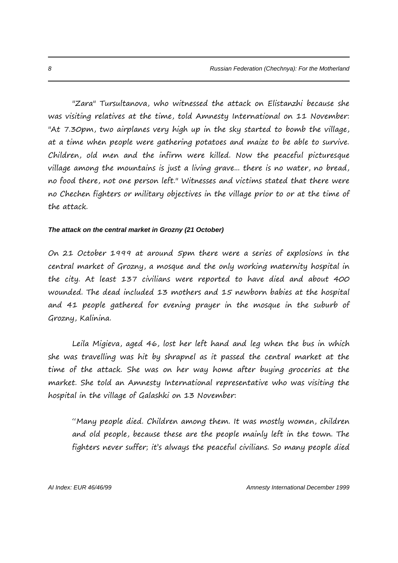"Zara" Tursultanova, who witnessed the attack on Elistanzhi because she was visiting relatives at the time, told Amnesty International on 11 November: "At 7.30pm, two airplanes very high up in the sky started to bomb the village, at a time when people were gathering potatoes and maize to be able to survive. Children, old men and the infirm were killed. Now the peaceful picturesque village among the mountains is just a living grave... there is no water, no bread, no food there, not one person left." Witnesses and victims stated that there were no Chechen fighters or military objectives in the village prior to or at the time of the attack.

#### *The attack on the central market in Grozny (21 October)*

On 21 October 1999 at around 5pm there were a series of explosions in the central market of Grozny, a mosque and the only working maternity hospital in the city. At least 137 civilians were reported to have died and about 400 wounded. The dead included 13 mothers and 15 newborn babies at the hospital and 41 people gathered for evening prayer in the mosque in the suburb of Grozny, Kalinina.

Leila Migieva, aged 46, lost her left hand and leg when the bus in which she was travelling was hit by shrapnel as it passed the central market at the time of the attack. She was on her way home after buying groceries at the market. She told an Amnesty International representative who was visiting the hospital in the village of Galashki on 13 November:

"Many people died. Children among them. It was mostly women, children and old people, because these are the people mainly left in the town. The fighters never suffer; it's always the peaceful civilians. So many people died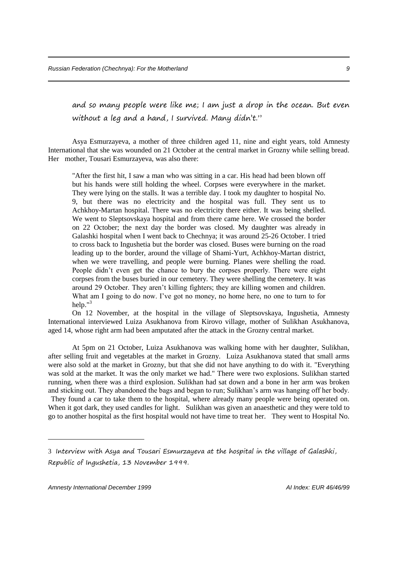and so many people were like me; I am just a drop in the ocean. But even without a leg and a hand, I survived. Many didn't."

Asya Esmurzayeva, a mother of three children aged 11, nine and eight years, told Amnesty International that she was wounded on 21 October at the central market in Grozny while selling bread. Her mother, Tousari Esmurzayeva, was also there:

"After the first hit, I saw a man who was sitting in a car. His head had been blown off but his hands were still holding the wheel. Corpses were everywhere in the market. They were lying on the stalls. It was a terrible day. I took my daughter to hospital No. 9, but there was no electricity and the hospital was full. They sent us to Achkhoy-Martan hospital. There was no electricity there either. It was being shelled. We went to Sleptsovskaya hospital and from there came here. We crossed the border on 22 October; the next day the border was closed. My daughter was already in Galashki hospital when I went back to Chechnya; it was around 25-26 October. I tried to cross back to Ingushetia but the border was closed. Buses were burning on the road leading up to the border, around the village of Shami-Yurt, Achkhoy-Martan district, when we were travelling, and people were burning. Planes were shelling the road. People didn't even get the chance to bury the corpses properly. There were eight corpses from the buses buried in our cemetery. They were shelling the cemetery. It was around 29 October. They aren't killing fighters; they are killing women and children. What am I going to do now. I've got no money, no home here, no one to turn to for help." $3$ 

On 12 November, at the hospital in the village of Sleptsovskaya, Ingushetia, Amnesty International interviewed Luiza Asukhanova from Kirovo village, mother of Sulikhan Asukhanova, aged 14, whose right arm had been amputated after the attack in the Grozny central market.

At 5pm on 21 October, Luiza Asukhanova was walking home with her daughter, Sulikhan, after selling fruit and vegetables at the market in Grozny. Luiza Asukhanova stated that small arms were also sold at the market in Grozny, but that she did not have anything to do with it. "Everything was sold at the market. It was the only market we had." There were two explosions. Sulikhan started running, when there was a third explosion. Sulikhan had sat down and a bone in her arm was broken and sticking out. They abandoned the bags and began to run; Sulikhan's arm was hanging off her body. They found a car to take them to the hospital, where already many people were being operated on.

When it got dark, they used candles for light. Sulikhan was given an anaesthetic and they were told to go to another hospital as the first hospital would not have time to treat her. They went to Hospital No.

<sup>3</sup> Interview with Asya and Tousari Esmurzayeva at the hospital in the village of Galashki, Republic of Ingushetia, 13 November 1999.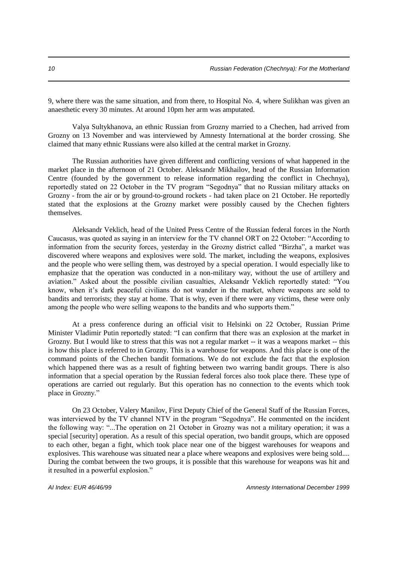9, where there was the same situation, and from there, to Hospital No. 4, where Sulikhan was given an anaesthetic every 30 minutes. At around 10pm her arm was amputated.

Valya Sultykhanova, an ethnic Russian from Grozny married to a Chechen, had arrived from Grozny on 13 November and was interviewed by Amnesty International at the border crossing. She claimed that many ethnic Russians were also killed at the central market in Grozny.

The Russian authorities have given different and conflicting versions of what happened in the market place in the afternoon of 21 October. Aleksandr Mikhailov, head of the Russian Information Centre (founded by the government to release information regarding the conflict in Chechnya), reportedly stated on 22 October in the TV program "Segodnya" that no Russian military attacks on Grozny - from the air or by ground-to-ground rockets - had taken place on 21 October. He reportedly stated that the explosions at the Grozny market were possibly caused by the Chechen fighters themselves.

Aleksandr Veklich, head of the United Press Centre of the Russian federal forces in the North Caucasus, was quoted as saying in an interview for the TV channel ORT on 22 October: "According to information from the security forces, yesterday in the Grozny district called "Birzha", a market was discovered where weapons and explosives were sold. The market, including the weapons, explosives and the people who were selling them, was destroyed by a special operation. I would especially like to emphasize that the operation was conducted in a non-military way, without the use of artillery and aviation." Asked about the possible civilian casualties, Aleksandr Veklich reportedly stated: "You know, when it's dark peaceful civilians do not wander in the market, where weapons are sold to bandits and terrorists; they stay at home. That is why, even if there were any victims, these were only among the people who were selling weapons to the bandits and who supports them."

At a press conference during an official visit to Helsinki on 22 October, Russian Prime Minister Vladimir Putin reportedly stated: "I can confirm that there was an explosion at the market in Grozny. But I would like to stress that this was not a regular market -- it was a weapons market -- this is how this place is referred to in Grozny. This is a warehouse for weapons. And this place is one of the command points of the Chechen bandit formations. We do not exclude the fact that the explosion which happened there was as a result of fighting between two warring bandit groups. There is also information that a special operation by the Russian federal forces also took place there. These type of operations are carried out regularly. But this operation has no connection to the events which took place in Grozny."

On 23 October, Valery Manilov, First Deputy Chief of the General Staff of the Russian Forces, was interviewed by the TV channel NTV in the program "Segodnya". He commented on the incident the following way: "...The operation on 21 October in Grozny was not a military operation; it was a special [security] operation. As a result of this special operation, two bandit groups, which are opposed to each other, began a fight, which took place near one of the biggest warehouses for weapons and explosives. This warehouse was situated near a place where weapons and explosives were being sold.... During the combat between the two groups, it is possible that this warehouse for weapons was hit and it resulted in a powerful explosion."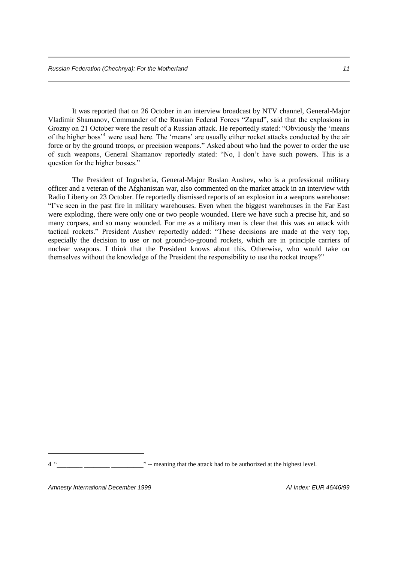It was reported that on 26 October in an interview broadcast by NTV channel, General-Major Vladimir Shamanov, Commander of the Russian Federal Forces "Zapad", said that the explosions in Grozny on 21 October were the result of a Russian attack. He reportedly stated: "Obviously the 'means of the higher boss'<sup>4</sup> were used here. The 'means' are usually either rocket attacks conducted by the air force or by the ground troops, or precision weapons." Asked about who had the power to order the use of such weapons, General Shamanov reportedly stated: "No, I don't have such powers. This is a question for the higher bosses."

The President of Ingushetia, General-Major Ruslan Aushev, who is a professional military officer and a veteran of the Afghanistan war, also commented on the market attack in an interview with Radio Liberty on 23 October. He reportedly dismissed reports of an explosion in a weapons warehouse: "I've seen in the past fire in military warehouses. Even when the biggest warehouses in the Far East were exploding, there were only one or two people wounded. Here we have such a precise hit, and so many corpses, and so many wounded. For me as a military man is clear that this was an attack with tactical rockets." President Aushev reportedly added: "These decisions are made at the very top, especially the decision to use or not ground-to-ground rockets, which are in principle carriers of nuclear weapons. I think that the President knows about this. Otherwise, who would take on themselves without the knowledge of the President the responsibility to use the rocket troops?"

*Amnesty International December 1999 AI Index: EUR 46/46/99*

<sup>&</sup>lt;sup>2</sup> " -- meaning that the attack had to be authorized at the highest level.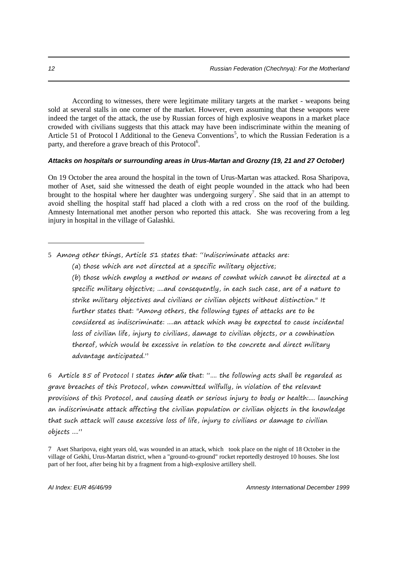According to witnesses, there were legitimate military targets at the market - weapons being sold at several stalls in one corner of the market. However, even assuming that these weapons were indeed the target of the attack, the use by Russian forces of high explosive weapons in a market place crowded with civilians suggests that this attack may have been indiscriminate within the meaning of Article 51 of Protocol I Additional to the Geneva Conventions<sup>5</sup>, to which the Russian Federation is a party, and therefore a grave breach of this Protocol<sup>6</sup>.

#### *Attacks on hospitals or surrounding areas in Urus-Martan and Grozny (19, 21 and 27 October)*

On 19 October the area around the hospital in the town of Urus-Martan was attacked. Rosa Sharipova, mother of Aset, said she witnessed the death of eight people wounded in the attack who had been brought to the hospital where her daughter was undergoing surgery<sup>7</sup>. She said that in an attempt to avoid shelling the hospital staff had placed a cloth with a red cross on the roof of the building. Amnesty International met another person who reported this attack. She was recovering from a leg injury in hospital in the village of Galashki.

5 Among other things, Article 51 states that: "Indiscriminate attacks are:

(b) those which employ a method or means of combat which cannot be directed at a specific military objective; ....and consequently, in each such case, are of a nature to strike military objectives and civilians or civilian objects without distinction." It further states that: "Among others, the following types of attacks are to be considered as indiscriminate: ....an attack which may be expected to cause incidental loss of civilian life, injury to civilians, damage to civilian objects, or a combination thereof, which would be excessive in relation to the concrete and direct military advantage anticipated."

6 Article 85 of Protocol I states **inter alia** that: ".... the following acts shall be regarded as grave breaches of this Protocol, when committed wilfully, in violation of the relevant provisions of this Protocol, and causing death or serious injury to body or health:.... launching an indiscriminate attack affecting the civilian population or civilian objects in the knowledge that such attack will cause excessive loss of life, injury to civilians or damage to civilian objects ...."

<sup>(</sup>a) those which are not directed at a specific military objective;

<sup>7</sup> Aset Sharipova, eight years old, was wounded in an attack, which took place on the night of 18 October in the village of Gekhi, Urus-Martan district, when a "ground-to-ground" rocket reportedly destroyed 10 houses. She lost part of her foot, after being hit by a fragment from a high-explosive artillery shell.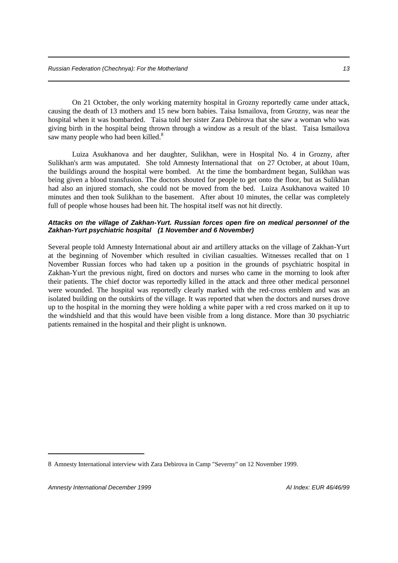On 21 October, the only working maternity hospital in Grozny reportedly came under attack, causing the death of 13 mothers and 15 new born babies. Taisa Ismailova, from Grozny, was near the hospital when it was bombarded. Taisa told her sister Zara Debirova that she saw a woman who was giving birth in the hospital being thrown through a window as a result of the blast. Taisa Ismailova saw many people who had been killed.<sup>8</sup>

Luiza Asukhanova and her daughter, Sulikhan, were in Hospital No. 4 in Grozny, after Sulikhan's arm was amputated. She told Amnesty International that on 27 October, at about 10am, the buildings around the hospital were bombed. At the time the bombardment began, Sulikhan was being given a blood transfusion. The doctors shouted for people to get onto the floor, but as Sulikhan had also an injured stomach, she could not be moved from the bed. Luiza Asukhanova waited 10 minutes and then took Sulikhan to the basement. After about 10 minutes, the cellar was completely full of people whose houses had been hit. The hospital itself was not hit directly.

#### *Attacks on the village of Zakhan-Yurt. Russian forces open fire on medical personnel of the Zakhan-Yurt psychiatric hospital (1 November and 6 November)*

Several people told Amnesty International about air and artillery attacks on the village of Zakhan-Yurt at the beginning of November which resulted in civilian casualties. Witnesses recalled that on 1 November Russian forces who had taken up a position in the grounds of psychiatric hospital in Zakhan-Yurt the previous night, fired on doctors and nurses who came in the morning to look after their patients. The chief doctor was reportedly killed in the attack and three other medical personnel were wounded. The hospital was reportedly clearly marked with the red-cross emblem and was an isolated building on the outskirts of the village. It was reported that when the doctors and nurses drove up to the hospital in the morning they were holding a white paper with a red cross marked on it up to the windshield and that this would have been visible from a long distance. More than 30 psychiatric patients remained in the hospital and their plight is unknown.

<sup>8</sup> Amnesty International interview with Zara Debirova in Camp "Severny" on 12 November 1999.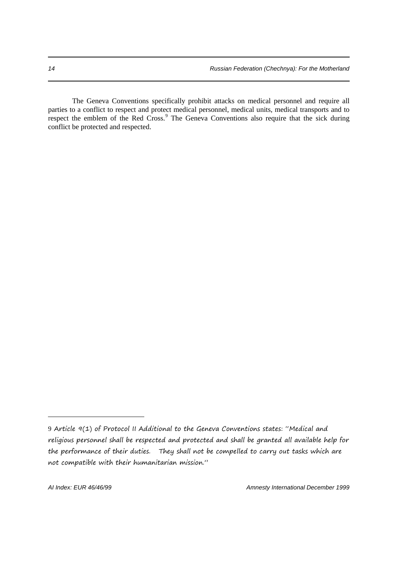The Geneva Conventions specifically prohibit attacks on medical personnel and require all parties to a conflict to respect and protect medical personnel, medical units, medical transports and to respect the emblem of the Red Cross.<sup>9</sup> The Geneva Conventions also require that the sick during conflict be protected and respected.

<sup>9</sup> Article 9(1) of Protocol II Additional to the Geneva Conventions states: "Medical and religious personnel shall be respected and protected and shall be granted all available help for the performance of their duties. They shall not be compelled to carry out tasks which are not compatible with their humanitarian mission."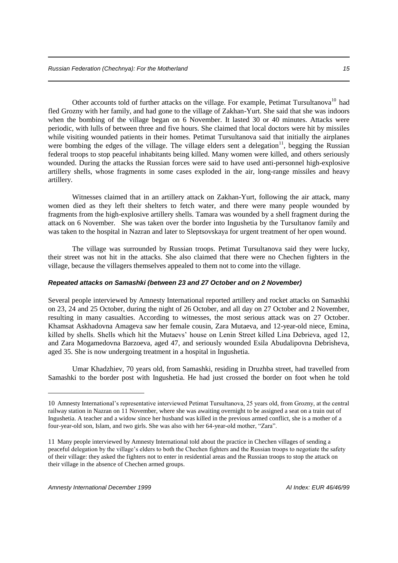Other accounts told of further attacks on the village. For example, Petimat Tursultanova<sup>10</sup> had fled Grozny with her family, and had gone to the village of Zakhan-Yurt. She said that she was indoors when the bombing of the village began on 6 November. It lasted 30 or 40 minutes. Attacks were periodic, with lulls of between three and five hours. She claimed that local doctors were hit by missiles while visiting wounded patients in their homes. Petimat Tursultanova said that initially the airplanes were bombing the edges of the village. The village elders sent a delegation<sup>11</sup>, begging the Russian federal troops to stop peaceful inhabitants being killed. Many women were killed, and others seriously wounded. During the attacks the Russian forces were said to have used anti-personnel high-explosive artillery shells, whose fragments in some cases exploded in the air, long-range missiles and heavy artillery.

Witnesses claimed that in an artillery attack on Zakhan-Yurt, following the air attack, many women died as they left their shelters to fetch water, and there were many people wounded by fragments from the high-explosive artillery shells. Tamara was wounded by a shell fragment during the attack on 6 November. She was taken over the border into Ingushetia by the Tursultanov family and was taken to the hospital in Nazran and later to Sleptsovskaya for urgent treatment of her open wound.

The village was surrounded by Russian troops. Petimat Tursultanova said they were lucky, their street was not hit in the attacks. She also claimed that there were no Chechen fighters in the village, because the villagers themselves appealed to them not to come into the village.

#### *Repeated attacks on Samashki (between 23 and 27 October and on 2 November)*

Several people interviewed by Amnesty International reported artillery and rocket attacks on Samashki on 23, 24 and 25 October, during the night of 26 October, and all day on 27 October and 2 November, resulting in many casualties. According to witnesses, the most serious attack was on 27 October. Khamsat Askhadovna Amageva saw her female cousin, Zara Mutaeva, and 12-year-old niece, Emina, killed by shells. Shells which hit the Mutaevs' house on Lenin Street killed Lina Debrieva, aged 12, and Zara Mogamedovna Barzoeva, aged 47, and seriously wounded Esila Abudalipovna Debrisheva, aged 35. She is now undergoing treatment in a hospital in Ingushetia.

Umar Khadzhiev, 70 years old, from Samashki, residing in Druzhba street, had travelled from Samashki to the border post with Ingushetia. He had just crossed the border on foot when he told

<sup>10</sup> Amnesty International's representative interviewed Petimat Tursultanova, 25 years old, from Grozny, at the central railway station in Nazran on 11 November, where she was awaiting overnight to be assigned a seat on a train out of Ingushetia. A teacher and a widow since her husband was killed in the previous armed conflict, she is a mother of a four-year-old son, Islam, and two girls. She was also with her 64-year-old mother, "Zara".

<sup>11</sup> Many people interviewed by Amnesty International told about the practice in Chechen villages of sending a peaceful delegation by the village's elders to both the Chechen fighters and the Russian troops to negotiate the safety of their village: they asked the fighters not to enter in residential areas and the Russian troops to stop the attack on their village in the absence of Chechen armed groups.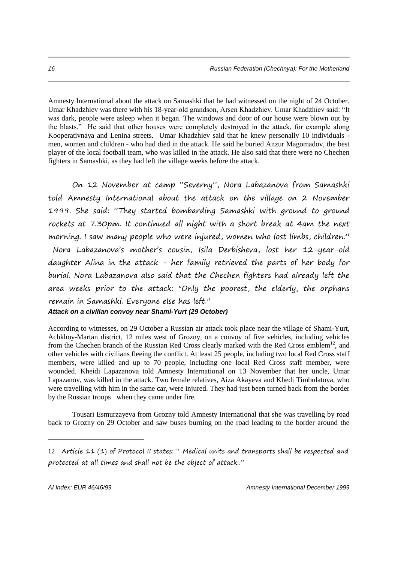Amnesty International about the attack on Samashki that he had witnessed on the night of 24 October. Umar Khadzhiev was there with his 18-year-old grandson, Arsen Khadzhiev. Umar Khadzhiev said: "It was dark, people were asleep when it began. The windows and door of our house were blown out by the blasts." He said that other houses were completely destroyed in the attack, for example along Kooperativnaya and Lenina streets. Umar Khadzhiev said that he knew personally 10 individuals men, women and children - who had died in the attack. He said he buried Anzur Magomadov, the best player of the local football team, who was killed in the attack. He also said that there were no Chechen fighters in Samashki, as they had left the village weeks before the attack.

On 12 November at camp "Severny", Nora Labazanova from Samashki told Amnesty International about the attack on the village on 2 November 1999. She said: "They started bombarding Samashki with ground-to-ground rockets at 7.30pm. It continued all night with a short break at 4am the next morning. I saw many people who were injured, women who lost limbs, children." Nora Labazanova's mother's cousin, Isila Derbisheva, lost her 12-year-old daughter Alina in the attack - her family retrieved the parts of her body for burial. Nora Labazanova also said that the Chechen fighters had already left the area weeks prior to the attack: "Only the poorest, the elderly, the orphans remain in Samashki. Everyone else has left."

### *Attack on a civilian convoy near Shami-Yurt (29 October)*

According to witnesses, on 29 October a Russian air attack took place near the village of Shami-Yurt, Achkhoy-Martan district, 12 miles west of Grozny, on a convoy of five vehicles, including vehicles from the Chechen branch of the Russian Red Cross clearly marked with the Red Cross emblem<sup>12</sup>, and other vehicles with civilians fleeing the conflict. At least 25 people, including two local Red Cross staff members, were killed and up to 70 people, including one local Red Cross staff member, were wounded. Kheidi Lapazanova told Amnesty International on 13 November that her uncle, Umar Lapazanov, was killed in the attack. Two female relatives, Aiza Akayeva and Khedi Timbulatova, who were travelling with him in the same car, were injured. They had just been turned back from the border by the Russian troops when they came under fire.

Tousari Esmurzayeva from Grozny told Amnesty International that she was travelling by road back to Grozny on 29 October and saw buses burning on the road leading to the border around the

<sup>12</sup> Article 11 (1) of Protocol II states: " Medical units and transports shall be respected and protected at all times and shall not be the object of attack.."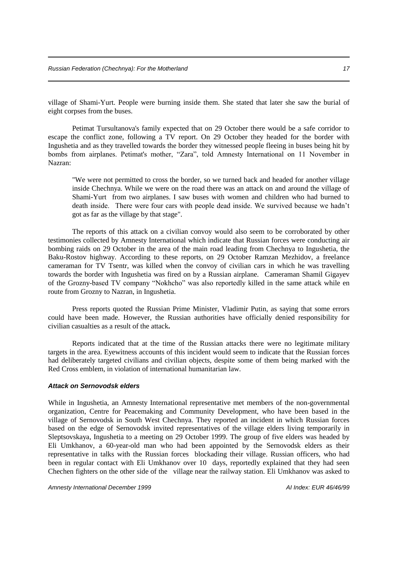village of Shami-Yurt. People were burning inside them. She stated that later she saw the burial of eight corpses from the buses.

Petimat Tursultanova's family expected that on 29 October there would be a safe corridor to escape the conflict zone, following a TV report. On 29 October they headed for the border with Ingushetia and as they travelled towards the border they witnessed people fleeing in buses being hit by bombs from airplanes. Petimat's mother, "Zara", told Amnesty International on 11 November in Nazran:

"We were not permitted to cross the border, so we turned back and headed for another village inside Chechnya. While we were on the road there was an attack on and around the village of Shami-Yurt from two airplanes. I saw buses with women and children who had burned to death inside. There were four cars with people dead inside. We survived because we hadn't got as far as the village by that stage".

The reports of this attack on a civilian convoy would also seem to be corroborated by other testimonies collected by Amnesty International which indicate that Russian forces were conducting air bombing raids on 29 October in the area of the main road leading from Chechnya to Ingushetia, the Baku-Rostov highway. According to these reports, on 29 October Ramzan Mezhidov, a freelance cameraman for TV Tsentr, was killed when the convoy of civilian cars in which he was travelling towards the border with Ingushetia was fired on by a Russian airplane. Cameraman Shamil Gigayev of the Grozny-based TV company "Nokhcho" was also reportedly killed in the same attack while en route from Grozny to Nazran, in Ingushetia.

Press reports quoted the Russian Prime Minister, Vladimir Putin, as saying that some errors could have been made. However, the Russian authorities have officially denied responsibility for civilian casualties as a result of the attack**.**

Reports indicated that at the time of the Russian attacks there were no legitimate military targets in the area. Eyewitness accounts of this incident would seem to indicate that the Russian forces had deliberately targeted civilians and civilian objects, despite some of them being marked with the Red Cross emblem, in violation of international humanitarian law.

#### *Attack on Sernovodsk elders*

While in Ingushetia, an Amnesty International representative met members of the non-governmental organization, Centre for Peacemaking and Community Development, who have been based in the village of Sernovodsk in South West Chechnya. They reported an incident in which Russian forces based on the edge of Sernovodsk invited representatives of the village elders living temporarily in Sleptsovskaya, Ingushetia to a meeting on 29 October 1999. The group of five elders was headed by Eli Umkhanov, a 60-year-old man who had been appointed by the Sernovodsk elders as their representative in talks with the Russian forces blockading their village. Russian officers, who had been in regular contact with Eli Umkhanov over 10 days, reportedly explained that they had seen Chechen fighters on the other side of the village near the railway station. Eli Umkhanov was asked to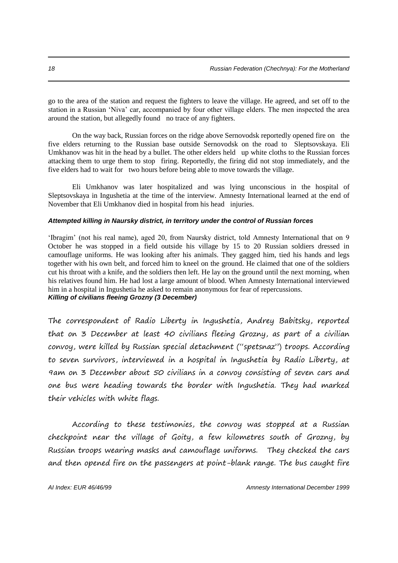go to the area of the station and request the fighters to leave the village. He agreed, and set off to the station in a Russian 'Niva' car, accompanied by four other village elders. The men inspected the area around the station, but allegedly found no trace of any fighters.

On the way back, Russian forces on the ridge above Sernovodsk reportedly opened fire on the five elders returning to the Russian base outside Sernovodsk on the road to Sleptsovskaya. Eli Umkhanov was hit in the head by a bullet. The other elders held up white cloths to the Russian forces attacking them to urge them to stop firing. Reportedly, the firing did not stop immediately, and the five elders had to wait for two hours before being able to move towards the village.

Eli Umkhanov was later hospitalized and was lying unconscious in the hospital of Sleptsovskaya in Ingushetia at the time of the interview. Amnesty International learned at the end of November that Eli Umkhanov died in hospital from his head injuries.

#### *Attempted killing in Naursky district, in territory under the control of Russian forces*

'Ibragim' (not his real name), aged 20, from Naursky district, told Amnesty International that on 9 October he was stopped in a field outside his village by 15 to 20 Russian soldiers dressed in camouflage uniforms. He was looking after his animals. They gagged him, tied his hands and legs together with his own belt, and forced him to kneel on the ground. He claimed that one of the soldiers cut his throat with a knife, and the soldiers then left. He lay on the ground until the next morning, when his relatives found him. He had lost a large amount of blood. When Amnesty International interviewed him in a hospital in Ingushetia he asked to remain anonymous for fear of repercussions. *Killing of civilians fleeing Grozny (3 December)*

The correspondent of Radio Liberty in Ingushetia, Andrey Babitsky, reported that on 3 December at least 40 civilians fleeing Grozny, as part of a civilian convoy, were killed by Russian special detachment ("spetsnaz") troops. According to seven survivors, interviewed in a hospital in Ingushetia by Radio Liberty, at 9am on 3 December about 50 civilians in a convoy consisting of seven cars and one bus were heading towards the border with Ingushetia. They had marked their vehicles with white flags.

According to these testimonies, the convoy was stopped at a Russian checkpoint near the village of Goity, a few kilometres south of Grozny, by Russian troops wearing masks and camouflage uniforms. They checked the cars and then opened fire on the passengers at point-blank range. The bus caught fire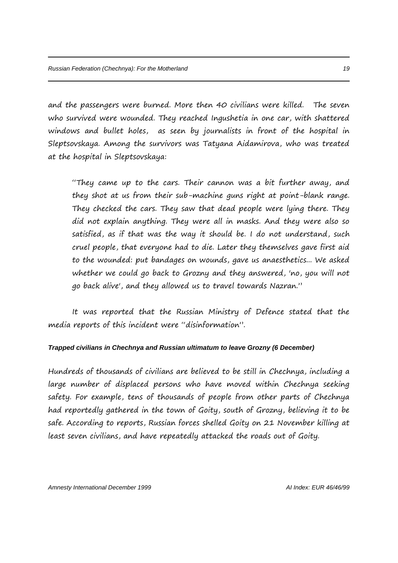and the passengers were burned. More then 40 civilians were killed. The seven who survived were wounded. They reached Ingushetia in one car, with shattered windows and bullet holes, as seen by journalists in front of the hospital in Sleptsovskaya. Among the survivors was Tatyana Aidamirova, who was treated at the hospital in Sleptsovskaya:

"They came up to the cars. Their cannon was a bit further away, and they shot at us from their sub-machine guns right at point-blank range. They checked the cars. They saw that dead people were lying there. They did not explain anything. They were all in masks. And they were also so satisfied, as if that was the way it should be. I do not understand, such cruel people, that everyone had to die. Later they themselves gave first aid to the wounded: put bandages on wounds, gave us anaesthetics... We asked whether we could go back to Grozny and they answered, 'no, you will not go back alive', and they allowed us to travel towards Nazran."

It was reported that the Russian Ministry of Defence stated that the media reports of this incident were "disinformation".

#### *Trapped civilians in Chechnya and Russian ultimatum to leave Grozny (6 December)*

Hundreds of thousands of civilians are believed to be still in Chechnya, including a large number of displaced persons who have moved within Chechnya seeking safety. For example, tens of thousands of people from other parts of Chechnya had reportedly gathered in the town of Goity, south of Grozny, believing it to be safe. According to reports, Russian forces shelled Goity on 21 November killing at least seven civilians, and have repeatedly attacked the roads out of Goity.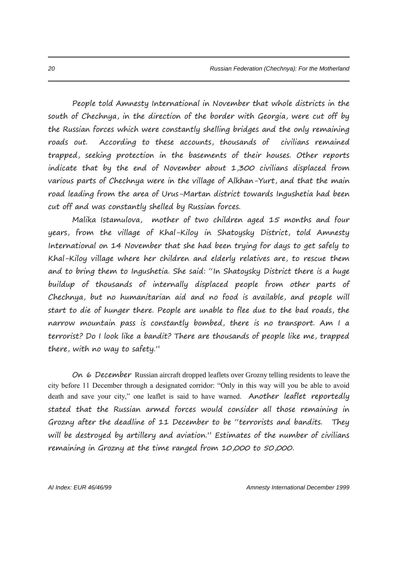People told Amnesty International in November that whole districts in the south of Chechnya, in the direction of the border with Georgia, were cut off by the Russian forces which were constantly shelling bridges and the only remaining roads out. According to these accounts, thousands of civilians remained trapped, seeking protection in the basements of their houses. Other reports indicate that by the end of November about 1,300 civilians displaced from various parts of Chechnya were in the village of Alkhan-Yurt, and that the main road leading from the area of Urus-Martan district towards Ingushetia had been cut off and was constantly shelled by Russian forces.

Malika Istamulova, mother of two children aged 15 months and four years, from the village of Khal-Kiloy in Shatoysky District, told Amnesty International on 14 November that she had been trying for days to get safely to Khal-Kiloy village where her children and elderly relatives are, to rescue them and to bring them to Ingushetia. She said: "In Shatoysky District there is a huge buildup of thousands of internally displaced people from other parts of Chechnya, but no humanitarian aid and no food is available, and people will start to die of hunger there. People are unable to flee due to the bad roads, the narrow mountain pass is constantly bombed, there is no transport. Am I a terrorist? Do I look like a bandit? There are thousands of people like me, trapped there, with no way to safety."

On 6 December Russian aircraft dropped leaflets over Grozny telling residents to leave the city before 11 December through a designated corridor: "Only in this way will you be able to avoid death and save your city," one leaflet is said to have warned. Another leaflet reportedly stated that the Russian armed forces would consider all those remaining in Grozny after the deadline of 11 December to be "terrorists and bandits. They will be destroyed by artillery and aviation." Estimates of the number of civilians remaining in Grozny at the time ranged from 10,000 to 50,000.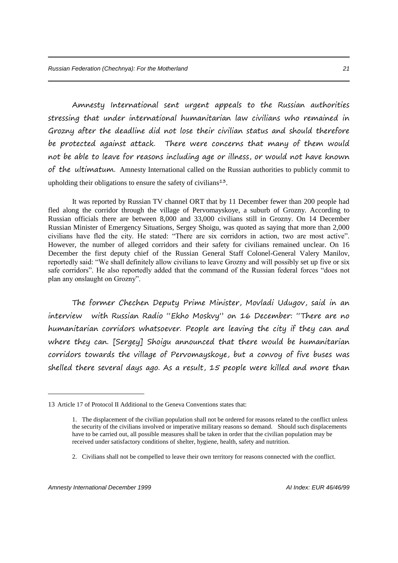Amnesty International sent urgent appeals to the Russian authorities stressing that under international humanitarian law civilians who remained in Grozny after the deadline did not lose their civilian status and should therefore be protected against attack. There were concerns that many of them would not be able to leave for reasons including age or illness, or would not have known of the ultimatum. Amnesty International called on the Russian authorities to publicly commit to upholding their obligations to ensure the safety of civilians<sup>13</sup>.

It was reported by Russian TV channel ORT that by 11 December fewer than 200 people had fled along the corridor through the village of Pervomayskoye, a suburb of Grozny. According to Russian officials there are between 8,000 and 33,000 civilians still in Grozny. On 14 December Russian Minister of Emergency Situations, Sergey Shoigu, was quoted as saying that more than 2,000 civilians have fled the city. He stated: "There are six corridors in action, two are most active". However, the number of alleged corridors and their safety for civilians remained unclear. On 16 December the first deputy chief of the Russian General Staff Colonel-General Valery Manilov, reportedly said: "We shall definitely allow civilians to leave Grozny and will possibly set up five or six safe corridors". He also reportedly added that the command of the Russian federal forces "does not plan any onslaught on Grozny".

The former Chechen Deputy Prime Minister, Movladi Udugov, said in an interview with Russian Radio "Ekho Moskvy" on 16 December: "There are no humanitarian corridors whatsoever. People are leaving the city if they can and where they can. [Sergey] Shoigu announced that there would be humanitarian corridors towards the village of Pervomayskoye, but a convoy of five buses was shelled there several days ago. As a result, 15 people were killed and more than

2. Civilians shall not be compelled to leave their own territory for reasons connected with the conflict.

<sup>13</sup> Article 17 of Protocol II Additional to the Geneva Conventions states that:

<sup>1.</sup> The displacement of the civilian population shall not be ordered for reasons related to the conflict unless the security of the civilians involved or imperative military reasons so demand. Should such displacements have to be carried out, all possible measures shall be taken in order that the civilian population may be received under satisfactory conditions of shelter, hygiene, health, safety and nutrition.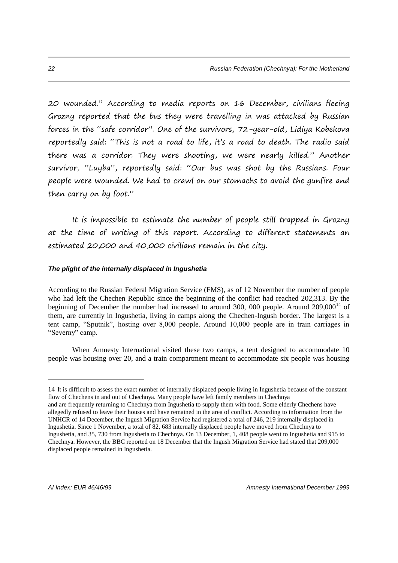20 wounded." According to media reports on 16 December, civilians fleeing Grozny reported that the bus they were travelling in was attacked by Russian forces in the "safe corridor". One of the survivors, 72-year-old, Lidiya Kobekova reportedly said: "This is not a road to life, it's a road to death. The radio said there was a corridor. They were shooting, we were nearly killed." Another survivor, "Luyba", reportedly said: "Our bus was shot by the Russians. Four people were wounded. We had to crawl on our stomachs to avoid the gunfire and then carry on by foot."

It is impossible to estimate the number of people still trapped in Grozny at the time of writing of this report. According to different statements an estimated 20,000 and 40,000 civilians remain in the city.

#### *The plight of the internally displaced in Ingushetia*

According to the Russian Federal Migration Service (FMS), as of 12 November the number of people who had left the Chechen Republic since the beginning of the conflict had reached 202,313. By the beginning of December the number had increased to around 300, 000 people. Around  $209,000^{14}$  of them, are currently in Ingushetia, living in camps along the Chechen-Ingush border. The largest is a tent camp, "Sputnik", hosting over 8,000 people. Around 10,000 people are in train carriages in "Severny" camp.

When Amnesty International visited these two camps, a tent designed to accommodate 10 people was housing over 20, and a train compartment meant to accommodate six people was housing

<sup>14</sup> It is difficult to assess the exact number of internally displaced people living in Ingushetia because of the constant flow of Chechens in and out of Chechnya. Many people have left family members in Chechnya

and are frequently returning to Chechnya from Ingushetia to supply them with food. Some elderly Chechens have allegedly refused to leave their houses and have remained in the area of conflict. According to information from the UNHCR of 14 December, the Ingush Migration Service had registered a total of 246, 219 internally displaced in Ingushetia. Since 1 November, a total of 82, 683 internally displaced people have moved from Chechnya to Ingushetia, and 35, 730 from Ingushetia to Chechnya. On 13 December, 1, 408 people went to Ingushetia and 915 to Chechnya. However, the BBC reported on 18 December that the Ingush Migration Service had stated that 209,000 displaced people remained in Ingushetia.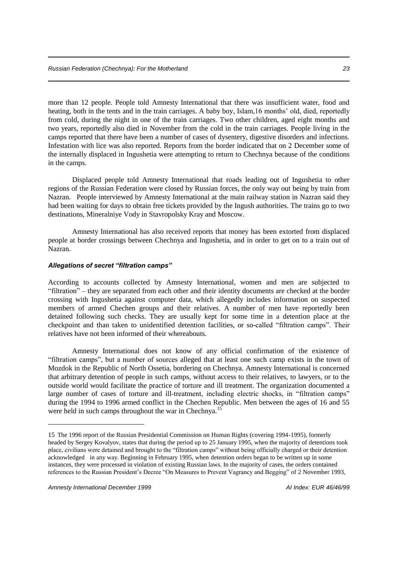more than 12 people. People told Amnesty International that there was insufficient water, food and heating, both in the tents and in the train carriages. A baby boy, Islam,16 months' old, died, reportedly from cold, during the night in one of the train carriages. Two other children, aged eight months and two years, reportedly also died in November from the cold in the train carriages. People living in the camps reported that there have been a number of cases of dysentery, digestive disorders and infections. Infestation with lice was also reported. Reports from the border indicated that on 2 December some of the internally displaced in Ingushetia were attempting to return to Chechnya because of the conditions in the camps.

Displaced people told Amnesty International that roads leading out of Ingushetia to other regions of the Russian Federation were closed by Russian forces, the only way out being by train from Nazran. People interviewed by Amnesty International at the main railway station in Nazran said they had been waiting for days to obtain free tickets provided by the Ingush authorities. The trains go to two destinations, Mineralniye Vody in Stavropolsky Kray and Moscow.

Amnesty International has also received reports that money has been extorted from displaced people at border crossings between Chechnya and Ingushetia, and in order to get on to a train out of Nazran.

#### *Allegations of secret "filtration camps"*

According to accounts collected by Amnesty International, women and men are subjected to "filtration" – they are separated from each other and their identity documents are checked at the border crossing with Ingushetia against computer data, which allegedly includes information on suspected members of armed Chechen groups and their relatives. A number of men have reportedly been detained following such checks. They are usually kept for some time in a detention place at the checkpoint and than taken to unidentified detention facilities, or so-called "filtration camps". Their relatives have not been informed of their whereabouts.

Amnesty International does not know of any official confirmation of the existence of "filtration camps", but a number of sources alleged that at least one such camp exists in the town of Mozdok in the Republic of North Ossetia, bordering on Chechnya. Amnesty International is concerned that arbitrary detention of people in such camps, without access to their relatives, to lawyers, or to the outside world would facilitate the practice of torture and ill treatment. The organization documented a large number of cases of torture and ill-treatment, including electric shocks, in "filtration camps" during the 1994 to 1996 armed conflict in the Chechen Republic. Men between the ages of 16 and 55 were held in such camps throughout the war in Chechnya.<sup>1</sup>

<sup>15</sup> The 1996 report of the Russian Presidential Commission on Human Rights (covering 1994-1995), formerly headed by Sergey Kovalyov, states that during the period up to 25 January 1995, when the majority of detentions took place, civilians were detained and brought to the "filtration camps" without being officially charged or their detention acknowledged in any way. Beginning in February 1995, when detention orders began to be written up in some instances, they were processed in violation of existing Russian laws. In the majority of cases, the orders contained references to the Russian President's Decree "On Measures to Prevent Vagrancy and Begging" of 2 November 1993,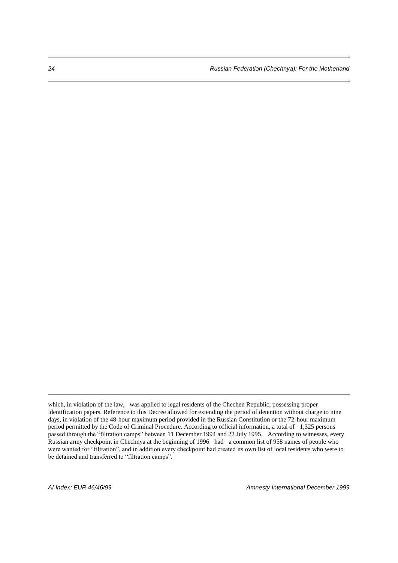which, in violation of the law, was applied to legal residents of the Chechen Republic, possessing proper identification papers. Reference to this Decree allowed for extending the period of detention without charge to nine days, in violation of the 48-hour maximum period provided in the Russian Constitution or the 72-hour maximum period permitted by the Code of Criminal Procedure. According to official information, a total of 1,325 persons passed through the "filtration camps" between 11 December 1994 and 22 July 1995. According to witnesses, every Russian army checkpoint in Chechnya at the beginning of 1996 had a common list of 958 names of people who were wanted for "filtration", and in addition every checkpoint had created its own list of local residents who were to be detained and transferred to "filtration camps".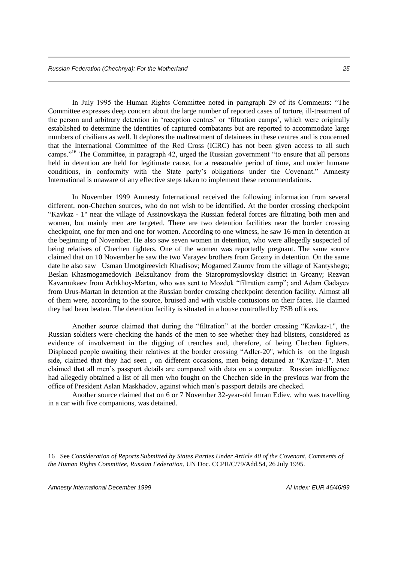In July 1995 the Human Rights Committee noted in paragraph 29 of its Comments: "The Committee expresses deep concern about the large number of reported cases of torture, ill-treatment of the person and arbitrary detention in 'reception centres' or 'filtration camps', which were originally established to determine the identities of captured combatants but are reported to accommodate large numbers of civilians as well. It deplores the maltreatment of detainees in these centres and is concerned that the International Committee of the Red Cross (ICRC) has not been given access to all such camps."<sup>16</sup> The Committee, in paragraph 42, urged the Russian government "to ensure that all persons" held in detention are held for legitimate cause, for a reasonable period of time, and under humane conditions, in conformity with the State party's obligations under the Covenant." Amnesty International is unaware of any effective steps taken to implement these recommendations.

In November 1999 Amnesty International received the following information from several different, non-Chechen sources, who do not wish to be identified. At the border crossing checkpoint "Kavkaz - 1" near the village of Assinovskaya the Russian federal forces are filtrating both men and women, but mainly men are targeted. There are two detention facilities near the border crossing checkpoint, one for men and one for women. According to one witness, he saw 16 men in detention at the beginning of November. He also saw seven women in detention, who were allegedly suspected of being relatives of Chechen fighters. One of the women was reportedly pregnant. The same source claimed that on 10 November he saw the two Varayev brothers from Grozny in detention. On the same date he also saw Usman Umotgireevich Khadisov; Mogamed Zaurov from the village of Kantyshego; Beslan Khasmogamedovich Beksultanov from the Staropromyslovskiy district in Grozny; Rezvan Kavarnukaev from Achkhoy-Martan, who was sent to Mozdok "filtration camp"; and Adam Gadayev from Urus-Martan in detention at the Russian border crossing checkpoint detention facility. Almost all of them were, according to the source, bruised and with visible contusions on their faces. He claimed they had been beaten. The detention facility is situated in a house controlled by FSB officers.

Another source claimed that during the "filtration" at the border crossing "Kavkaz-1", the Russian soldiers were checking the hands of the men to see whether they had blisters, considered as evidence of involvement in the digging of trenches and, therefore, of being Chechen fighters. Displaced people awaiting their relatives at the border crossing "Adler-20", which is on the Ingush side, claimed that they had seen , on different occasions, men being detained at "Kavkaz-1". Men claimed that all men's passport details are compared with data on a computer. Russian intelligence had allegedly obtained a list of all men who fought on the Chechen side in the previous war from the office of President Aslan Maskhadov, against which men's passport details are checked.

Another source claimed that on 6 or 7 November 32-year-old Imran Ediev, who was travelling in a car with five companions, was detained.

<sup>16</sup> See *Consideration of Reports Submitted by States Parties Under Article 40 of the Covenant, Comments of the Human Rights Committee, Russian Federation*, UN Doc. CCPR/C/79/Add.54, 26 July 1995.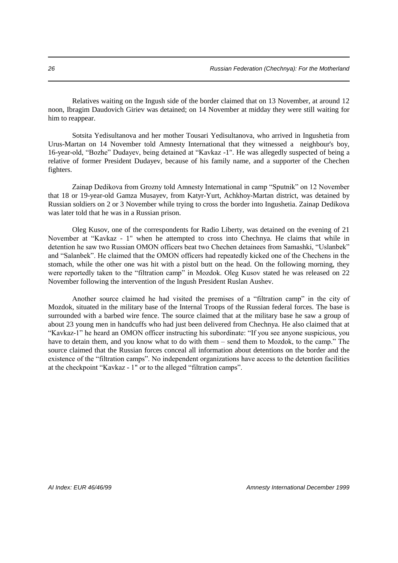Relatives waiting on the Ingush side of the border claimed that on 13 November, at around 12 noon, Ibragim Daudovich Giriev was detained; on 14 November at midday they were still waiting for him to reappear.

Sotsita Yedisultanova and her mother Tousari Yedisultanova, who arrived in Ingushetia from Urus-Martan on 14 November told Amnesty International that they witnessed a neighbour's boy, 16-year-old, "Bozhe" Dudayev, being detained at "Kavkaz -1". He was allegedly suspected of being a relative of former President Dudayev, because of his family name, and a supporter of the Chechen fighters.

Zainap Dedikova from Grozny told Amnesty International in camp "Sputnik" on 12 November that 18 or 19-year-old Gamza Musayev, from Katyr-Yurt, Achkhoy-Martan district, was detained by Russian soldiers on 2 or 3 November while trying to cross the border into Ingushetia. Zainap Dedikova was later told that he was in a Russian prison.

Oleg Kusov, one of the correspondents for Radio Liberty, was detained on the evening of 21 November at "Kavkaz - 1" when he attempted to cross into Chechnya. He claims that while in detention he saw two Russian OMON officers beat two Chechen detainees from Samashki, "Uslanbek" and "Salanbek". He claimed that the OMON officers had repeatedly kicked one of the Chechens in the stomach, while the other one was hit with a pistol butt on the head. On the following morning, they were reportedly taken to the "filtration camp" in Mozdok. Oleg Kusov stated he was released on 22 November following the intervention of the Ingush President Ruslan Aushev.

Another source claimed he had visited the premises of a "filtration camp" in the city of Mozdok, situated in the military base of the Internal Troops of the Russian federal forces. The base is surrounded with a barbed wire fence. The source claimed that at the military base he saw a group of about 23 young men in handcuffs who had just been delivered from Chechnya. He also claimed that at "Kavkaz-1" he heard an OMON officer instructing his subordinate: "If you see anyone suspicious, you have to detain them, and you know what to do with them – send them to Mozdok, to the camp." The source claimed that the Russian forces conceal all information about detentions on the border and the existence of the "filtration camps". No independent organizations have access to the detention facilities at the checkpoint "Kavkaz - 1" or to the alleged "filtration camps".

*AI Index: EUR 46/46/99 Amnesty International December 1999*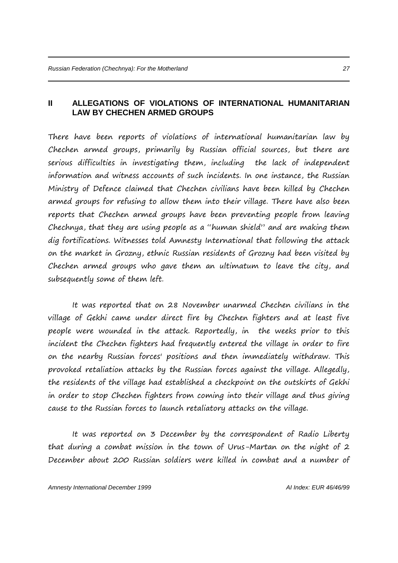#### **II ALLEGATIONS OF VIOLATIONS OF INTERNATIONAL HUMANITARIAN LAW BY CHECHEN ARMED GROUPS**

There have been reports of violations of international humanitarian law by Chechen armed groups, primarily by Russian official sources, but there are serious difficulties in investigating them, including the lack of independent information and witness accounts of such incidents. In one instance, the Russian Ministry of Defence claimed that Chechen civilians have been killed by Chechen armed groups for refusing to allow them into their village. There have also been reports that Chechen armed groups have been preventing people from leaving Chechnya, that they are using people as a "human shield" and are making them dig fortifications. Witnesses told Amnesty International that following the attack on the market in Grozny, ethnic Russian residents of Grozny had been visited by Chechen armed groups who gave them an ultimatum to leave the city, and subsequently some of them left.

It was reported that on 28 November unarmed Chechen civilians in the village of Gekhi came under direct fire by Chechen fighters and at least five people were wounded in the attack. Reportedly, in the weeks prior to this incident the Chechen fighters had frequently entered the village in order to fire on the nearby Russian forces' positions and then immediately withdraw. This provoked retaliation attacks by the Russian forces against the village. Allegedly, the residents of the village had established a checkpoint on the outskirts of Gekhi in order to stop Chechen fighters from coming into their village and thus giving cause to the Russian forces to launch retaliatory attacks on the village.

It was reported on 3 December by the correspondent of Radio Liberty that during a combat mission in the town of Urus-Martan on the night of 2 December about 200 Russian soldiers were killed in combat and a number of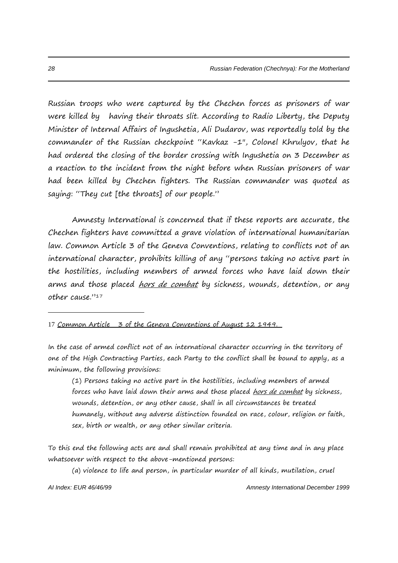Russian troops who were captured by the Chechen forces as prisoners of war were killed by having their throats slit. According to Radio Liberty, the Deputy Minister of Internal Affairs of Ingushetia, Ali Dudarov, was reportedly told by the commander of the Russian checkpoint "Kavkaz -1", Colonel Khrulyov, that he had ordered the closing of the border crossing with Ingushetia on 3 December as a reaction to the incident from the night before when Russian prisoners of war had been killed by Chechen fighters. The Russian commander was quoted as saying: "They cut [the throats] of our people."

Amnesty International is concerned that if these reports are accurate, the Chechen fighters have committed a grave violation of international humanitarian law. Common Article 3 of the Geneva Conventions, relating to conflicts not of an international character, prohibits killing of any "persons taking no active part in the hostilities, including members of armed forces who have laid down their arms and those placed <u>hors de combat</u> by sickness, wounds, detention, or any other cause."<sup>17</sup>

17 Common Article 3 of the Geneva Conventions of August 12 1949.

In the case of armed conflict not of an international character occurring in the territory of one of the High Contracting Parties, each Party to the conflict shall be bound to apply, as a minimum, the following provisions:

(1) Persons taking no active part in the hostilities, including members of armed forces who have laid down their arms and those placed hors de combat by sickness, wounds, detention, or any other cause, shall in all circumstances be treated humanely, without any adverse distinction founded on race, colour, religion or faith, sex, birth or wealth, or any other similar criteria.

To this end the following acts are and shall remain prohibited at any time and in any place whatsoever with respect to the above-mentioned persons:

(a) violence to life and person, in particular murder of all kinds, mutilation, cruel

*AI Index: EUR 46/46/99 Amnesty International December 1999*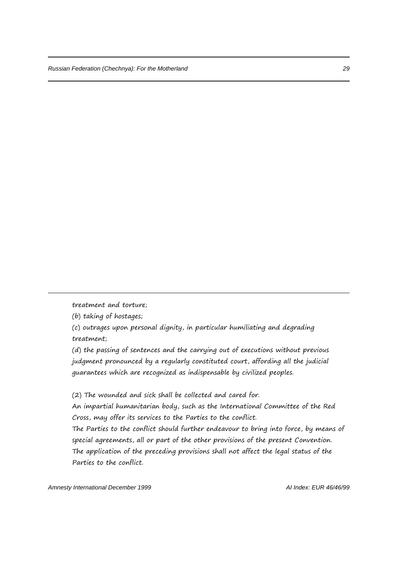treatment and torture;

-

(b) taking of hostages;

(c) outrages upon personal dignity, in particular humiliating and degrading treatment;

(d) the passing of sentences and the carrying out of executions without previous judgment pronounced by a regularly constituted court, affording all the judicial guarantees which are recognized as indispensable by civilized peoples.

(2) The wounded and sick shall be collected and cared for.

An impartial humanitarian body, such as the International Committee of the Red Cross, may offer its services to the Parties to the conflict.

The Parties to the conflict should further endeavour to bring into force, by means of special agreements, all or part of the other provisions of the present Convention. The application of the preceding provisions shall not affect the legal status of the Parties to the conflict.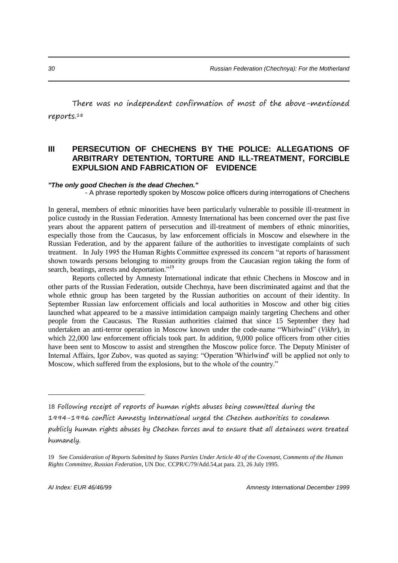There was no independent confirmation of most of the above-mentioned reports.<sup>18</sup>

#### **III PERSECUTION OF CHECHENS BY THE POLICE: ALLEGATIONS OF ARBITRARY DETENTION, TORTURE AND ILL-TREATMENT, FORCIBLE EXPULSION AND FABRICATION OF EVIDENCE**

#### *"The only good Chechen is the dead Chechen."*

- A phrase reportedly spoken by Moscow police officers during interrogations of Chechens

In general, members of ethnic minorities have been particularly vulnerable to possible ill-treatment in police custody in the Russian Federation. Amnesty International has been concerned over the past five years about the apparent pattern of persecution and ill-treatment of members of ethnic minorities, especially those from the Caucasus, by law enforcement officials in Moscow and elsewhere in the Russian Federation, and by the apparent failure of the authorities to investigate complaints of such treatment. In July 1995 the Human Rights Committee expressed its concern "at reports of harassment shown towards persons belonging to minority groups from the Caucasian region taking the form of search, beatings, arrests and deportation."<sup>19</sup>

Reports collected by Amnesty International indicate that ethnic Chechens in Moscow and in other parts of the Russian Federation, outside Chechnya, have been discriminated against and that the whole ethnic group has been targeted by the Russian authorities on account of their identity. In September Russian law enforcement officials and local authorities in Moscow and other big cities launched what appeared to be a massive intimidation campaign mainly targeting Chechens and other people from the Caucasus. The Russian authorities claimed that since 15 September they had undertaken an anti-terror operation in Moscow known under the code-name "Whirlwind" (*Vikhr*), in which 22,000 law enforcement officials took part. In addition, 9,000 police officers from other cities have been sent to Moscow to assist and strengthen the Moscow police force. The Deputy Minister of Internal Affairs, Igor Zubov, was quoted as saying: "Operation 'Whirlwind' will be applied not only to Moscow, which suffered from the explosions, but to the whole of the country."

<sup>18</sup> Following receipt of reports of human rights abuses being committed during the 1994-1996 conflict Amnesty International urged the Chechen authorities to condemn publicly human rights abuses by Chechen forces and to ensure that all detainees were treated humanely.

<sup>19</sup> See *Consideration of Reports Submitted by States Parties Under Article 40 of the Covenant, Comments of the Human Rights Committee, Russian Federation*, UN Doc. CCPR/C/79/Add.54,at para. 23, 26 July 1995.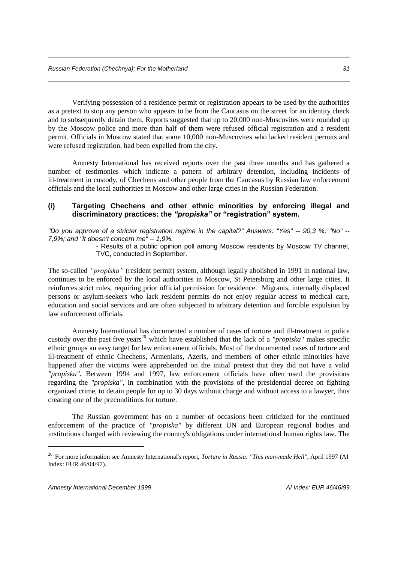Verifying possession of a residence permit or registration appears to be used by the authorities as a pretext to stop any person who appears to be from the Caucasus on the street for an identity check and to subsequently detain them. Reports suggested that up to 20,000 non-Muscovites were rounded up by the Moscow police and more than half of them were refused official registration and a resident permit. Officials in Moscow stated that some 10,000 non-Muscovites who lacked resident permits and were refused registration, had been expelled from the city.

Amnesty International has received reports over the past three months and has gathered a number of testimonies which indicate a pattern of arbitrary detention, including incidents of ill-treatment in custody, of Chechens and other people from the Caucasus by Russian law enforcement officials and the local authorities in Moscow and other large cities in the Russian Federation.

#### **(i) Targeting Chechens and other ethnic minorities by enforcing illegal and discriminatory practices: the** *"propiska"* **or "registration" system.**

*"Do you approve of a stricter registration regime in the capital?" Answers: "Yes" -- 90,3 %; "No" -- 7,9%; and "It doesn't concern me" -- 1,9%.*

- Results of a public opinion poll among Moscow residents by Moscow TV channel, TVC, conducted in September.

The so-called *"propiska"* (resident permit) system, although legally abolished in 1991 in national law, continues to be enforced by the local authorities in Moscow, St Petersburg and other large cities. It reinforces strict rules, requiring prior official permission for residence. Migrants, internally displaced persons or asylum-seekers who lack resident permits do not enjoy regular access to medical care, education and social services and are often subjected to arbitrary detention and forcible expulsion by law enforcement officials.

Amnesty International has documented a number of cases of torture and ill-treatment in police custody over the past five years<sup>20</sup> which have established that the lack of a *"propiska"* makes specific ethnic groups an easy target for law enforcement officials. Most of the documented cases of torture and ill-treatment of ethnic Chechens, Armenians, Azeris, and members of other ethnic minorities have happened after the victims were apprehended on the initial pretext that they did not have a valid *"propiska".* Between 1994 and 1997, law enforcement officials have often used the provisions regarding the *"propiska",* in combination with the provisions of the presidential decree on fighting organized crime, to detain people for up to 30 days without charge and without access to a lawyer, thus creating one of the preconditions for torture.

The Russian government has on a number of occasions been criticized for the continued enforcement of the practice of *"propiska"* by different UN and European regional bodies and institutions charged with reviewing the country's obligations under international human rights law. The

<sup>&</sup>lt;sup>20</sup> For more information see Amnesty International's report, *Torture in Russia: "This man-made Hell"*, April 1997 (AI Index: EUR 46/04/97).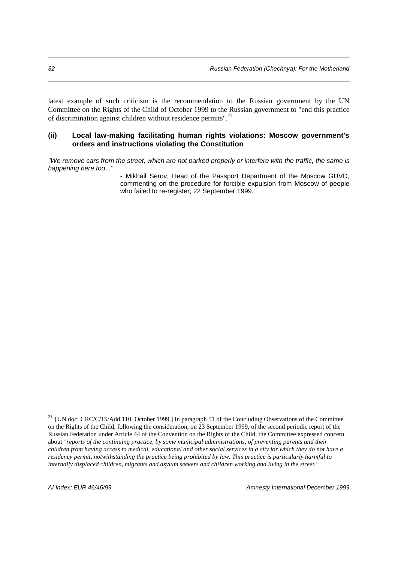latest example of such criticism is the recommendation to the Russian government by the UN Committee on the Rights of the Child of October 1999 to the Russian government to "end this practice of discrimination against children without residence permits".<sup>21</sup>

#### **(ii) Local law-making facilitating human rights violations: Moscow government's orders and instructions violating the Constitution**

*"We remove cars from the street, which are not parked properly or interfere with the traffic, the same is happening here too..."* 

> - Mikhail Serov, Head of the Passport Department of the Moscow GUVD, commenting on the procedure for forcible expulsion from Moscow of people who failed to re-register, 22 September 1999.

<sup>&</sup>lt;sup>21</sup> [UN doc: CRC/C/15/Add.110, October 1999.] In paragraph 51 of the Concluding Observations of the Committee on the Rights of the Child, following the consideration, on 23 September 1999, of the second periodic report of the Russian Federation under Article 44 of the Convention on the Rights of the Child, the Committee expressed concern about *"reports of the continuing practice, by some municipal administrations, of preventing parents and their children from having access to medical, educational and other social services in a city for which they do not have a residency permit, notwithstanding the practice being prohibited by law. This practice is particularly harmful to internally displaced children, migrants and asylum seekers and children working and living in the street."*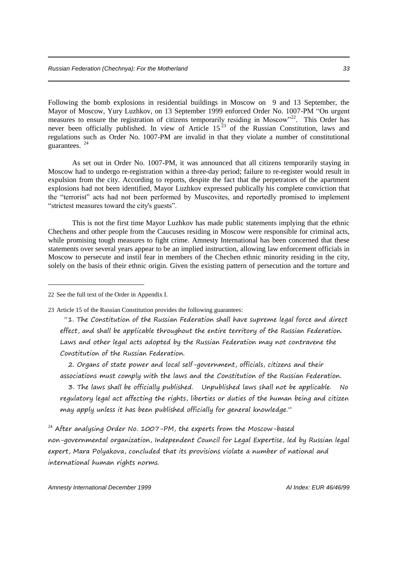Following the bomb explosions in residential buildings in Moscow on 9 and 13 September, the Mayor of Moscow, Yury Luzhkov, on 13 September 1999 enforced Order No. 1007-PM "On urgent measures to ensure the registration of citizens temporarily residing in Moscow<sup>22</sup>. This Order has never been officially published. In view of Article 15<sup>23</sup> of the Russian Constitution, laws and regulations such as Order No. 1007-PM are invalid in that they violate a number of constitutional guarantees. <sup>24</sup>

As set out in Order No. 1007-PM, it was announced that all citizens temporarily staying in Moscow had to undergo re-registration within a three-day period; failure to re-register would result in expulsion from the city. According to reports, despite the fact that the perpetrators of the apartment explosions had not been identified, Mayor Luzhkov expressed publically his complete conviction that the "terrorist" acts had not been performed by Muscovites, and reportedly promised to implement "strictest measures toward the city's guests".

This is not the first time Mayor Luzhkov has made public statements implying that the ethnic Chechens and other people from the Caucuses residing in Moscow were responsible for criminal acts, while promising tough measures to fight crime. Amnesty International has been concerned that these statements over several years appear to be an implied instruction, allowing law enforcement officials in Moscow to persecute and instil fear in members of the Chechen ethnic minority residing in the city, solely on the basis of their ethnic origin. Given the existing pattern of persecution and the torture and

22 See the full text of the Order in Appendix I.

-

23 Article 15 of the Russian Constitution provides the following guarantees:

"1. The Constitution of the Russian Federation shall have supreme legal force and direct effect, and shall be applicable throughout the entire territory of the Russian Federation. Laws and other legal acts adopted by the Russian Federation may not contravene the Constitution of the Russian Federation.

 2. Organs of state power and local self-government, officials, citizens and their associations must comply with the laws and the Constitution of the Russian Federation.

 3. The laws shall be officially published. Unpublished laws shall not be applicable. No regulatory legal act affecting the rights, liberties or duties of the human being and citizen may apply unless it has been published officially for general knowledge."

 $24$  After analysing Order No. 1007-PM, the experts from the Moscow-based non-governmental organization, Independent Council for Legal Expertise, led by Russian legal expert, Mara Polyakova, concluded that its provisions violate a number of national and international human rights norms.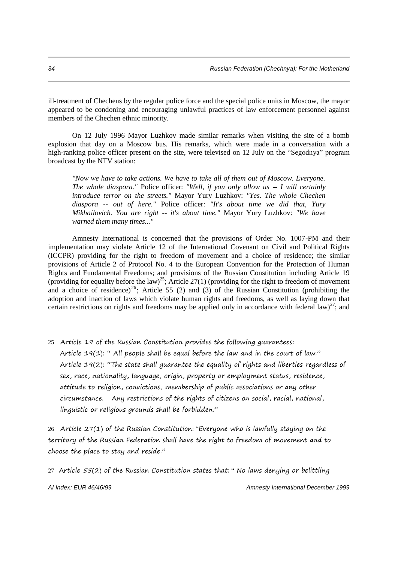ill-treatment of Chechens by the regular police force and the special police units in Moscow, the mayor appeared to be condoning and encouraging unlawful practices of law enforcement personnel against members of the Chechen ethnic minority.

On 12 July 1996 Mayor Luzhkov made similar remarks when visiting the site of a bomb explosion that day on a Moscow bus. His remarks, which were made in a conversation with a high-ranking police officer present on the site, were televised on 12 July on the "Segodnya" program broadcast by the NTV station:

*"Now we have to take actions. We have to take all of them out of Moscow. Everyone. The whole diaspora."* Police officer: *"Well, if you only allow us -- I will certainly introduce terror on the streets."* Mayor Yury Luzhkov: *"Yes. The whole Chechen diaspora -- out of here."* Police officer: *"It's about time we did that, Yury Mikhailovich. You are right -- it's about time."* Mayor Yury Luzhkov: *"We have warned them many times..."* 

Amnesty International is concerned that the provisions of Order No. 1007-PM and their implementation may violate Article 12 of the International Covenant on Civil and Political Rights (ICCPR) providing for the right to freedom of movement and a choice of residence; the similar provisions of Article 2 of Protocol No. 4 to the European Convention for the Protection of Human Rights and Fundamental Freedoms; and provisions of the Russian Constitution including Article 19 (providing for equality before the law)<sup>25</sup>; Article 27(1) (providing for the right to freedom of movement and a choice of residence)<sup>26</sup>; Article 55 (2) and (3) of the Russian Constitution (prohibiting the adoption and inaction of laws which violate human rights and freedoms, as well as laying down that certain restrictions on rights and freedoms may be applied only in accordance with federal law)<sup>27</sup>; and

26 Article 27(1) of the Russian Constitution: "Everyone who is lawfully staying on the territory of the Russian Federation shall have the right to freedom of movement and to choose the place to stay and reside."

*AI Index: EUR 46/46/99 Amnesty International December 1999*

<sup>25</sup> Article 19 of the Russian Constitution provides the following guarantees: Article 19(1): " All people shall be equal before the law and in the court of law." Article 19(2): "The state shall guarantee the equality of rights and liberties regardless of sex, race, nationality, language, origin, property or employment status, residence, attitude to religion, convictions, membership of public associations or any other circumstance. Any restrictions of the rights of citizens on social, racial, national, linguistic or religious grounds shall be forbidden."

<sup>27</sup> Article 55(2) of the Russian Constitution states that: " No laws denying or belittling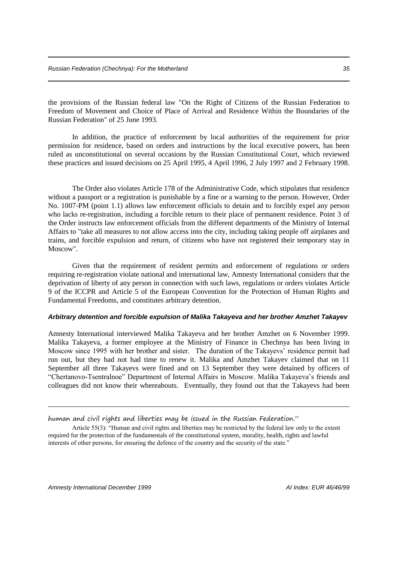the provisions of the Russian federal law "On the Right of Citizens of the Russian Federation to Freedom of Movement and Choice of Place of Arrival and Residence Within the Boundaries of the Russian Federation" of 25 June 1993.

In addition, the practice of enforcement by local authorities of the requirement for prior permission for residence, based on orders and instructions by the local executive powers, has been ruled as unconstitutional on several occasions by the Russian Constitutional Court, which reviewed these practices and issued decisions on 25 April 1995, 4 April 1996, 2 July 1997 and 2 February 1998.

The Order also violates Article 178 of the Administrative Code, which stipulates that residence without a passport or a registration is punishable by a fine or a warning to the person. However, Order No. 1007-PM (point 1.1) allows law enforcement officials to detain and to forcibly expel any person who lacks re-registration, including a forcible return to their place of permanent residence. Point 3 of the Order instructs law enforcement officials from the different departments of the Ministry of Internal Affairs to "take all measures to not allow access into the city, including taking people off airplanes and trains, and forcible expulsion and return, of citizens who have not registered their temporary stay in Moscow".

Given that the requirement of resident permits and enforcement of regulations or orders requiring re-registration violate national and international law, Amnesty International considers that the deprivation of liberty of any person in connection with such laws, regulations or orders violates Article 9 of the ICCPR and Article 5 of the European Convention for the Protection of Human Rights and Fundamental Freedoms, and constitutes arbitrary detention.

#### *Arbitrary detention and forcible expulsion of Malika Takayeva and her brother Amzhet Takayev*

Amnesty International interviewed Malika Takayeva and her brother Amzhet on 6 November 1999. Malika Takayeva, a former employee at the Ministry of Finance in Chechnya has been living in Moscow since 1995 with her brother and sister. The duration of the Takayevs' residence permit had run out, but they had not had time to renew it. Malika and Amzhet Takayev claimed that on 11 September all three Takayevs were fined and on 13 September they were detained by officers of "Chertanovo-Tsentralnoe" Department of Internal Affairs in Moscow. Malika Takayeva's friends and colleagues did not know their whereabouts. Eventually, they found out that the Takayevs had been

human and civil rights and liberties may be issued in the Russian Federation."

Article 55(3): "Human and civil rights and liberties may be restricted by the federal law only to the extent required for the protection of the fundamentals of the constitutional system, morality, health, rights and lawful interests of other persons, for ensuring the defence of the country and the security of the state."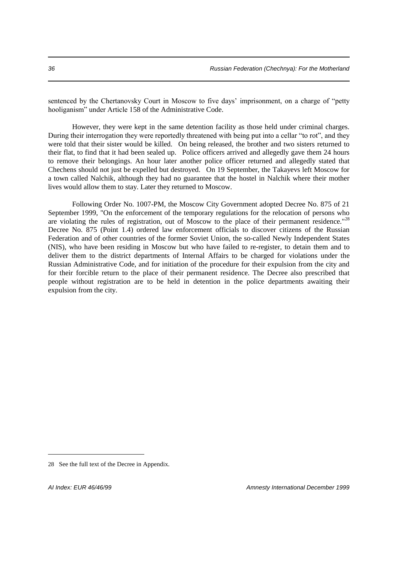sentenced by the Chertanovsky Court in Moscow to five days' imprisonment, on a charge of "petty hooliganism" under Article 158 of the Administrative Code.

However, they were kept in the same detention facility as those held under criminal charges. During their interrogation they were reportedly threatened with being put into a cellar "to rot", and they were told that their sister would be killed. On being released, the brother and two sisters returned to their flat, to find that it had been sealed up. Police officers arrived and allegedly gave them 24 hours to remove their belongings. An hour later another police officer returned and allegedly stated that Chechens should not just be expelled but destroyed. On 19 September, the Takayevs left Moscow for a town called Nalchik, although they had no guarantee that the hostel in Nalchik where their mother lives would allow them to stay. Later they returned to Moscow.

Following Order No. 1007-PM, the Moscow City Government adopted Decree No. 875 of 21 September 1999, "On the enforcement of the temporary regulations for the relocation of persons who are violating the rules of registration, out of Moscow to the place of their permanent residence."<sup>28</sup> Decree No. 875 (Point 1.4) ordered law enforcement officials to discover citizens of the Russian Federation and of other countries of the former Soviet Union, the so-called Newly Independent States (NIS), who have been residing in Moscow but who have failed to re-register, to detain them and to deliver them to the district departments of Internal Affairs to be charged for violations under the Russian Administrative Code, and for initiation of the procedure for their expulsion from the city and for their forcible return to the place of their permanent residence. The Decree also prescribed that people without registration are to be held in detention in the police departments awaiting their expulsion from the city.

<sup>28</sup> See the full text of the Decree in Appendix.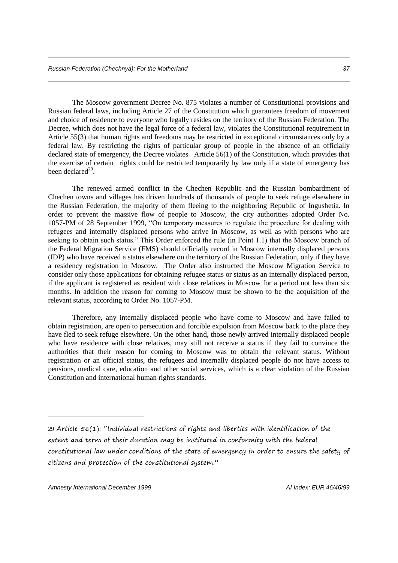The Moscow government Decree No. 875 violates a number of Constitutional provisions and Russian federal laws, including Article 27 of the Constitution which guarantees freedom of movement and choice of residence to everyone who legally resides on the territory of the Russian Federation. The Decree, which does not have the legal force of a federal law, violates the Constitutional requirement in Article 55(3) that human rights and freedoms may be restricted in exceptional circumstances only by a federal law. By restricting the rights of particular group of people in the absence of an officially declared state of emergency, the Decree violates Article 56(1) of the Constitution, which provides that the exercise of certain rights could be restricted temporarily by law only if a state of emergency has been declared<sup>29</sup>.

The renewed armed conflict in the Chechen Republic and the Russian bombardment of Chechen towns and villages has driven hundreds of thousands of people to seek refuge elsewhere in the Russian Federation, the majority of them fleeing to the neighboring Republic of Ingushetia. In order to prevent the massive flow of people to Moscow, the city authorities adopted Order No. 1057-PM of 28 September 1999, "On temporary measures to regulate the procedure for dealing with refugees and internally displaced persons who arrive in Moscow, as well as with persons who are seeking to obtain such status." This Order enforced the rule (in Point 1.1) that the Moscow branch of the Federal Migration Service (FMS) should officially record in Moscow internally displaced persons (IDP) who have received a status elsewhere on the territory of the Russian Federation, only if they have a residency registration in Moscow. The Order also instructed the Moscow Migration Service to consider only those applications for obtaining refugee status or status as an internally displaced person, if the applicant is registered as resident with close relatives in Moscow for a period not less than six months. In addition the reason for coming to Moscow must be shown to be the acquisition of the relevant status, according to Order No. 1057-PM.

Therefore, any internally displaced people who have come to Moscow and have failed to obtain registration, are open to persecution and forcible expulsion from Moscow back to the place they have fled to seek refuge elsewhere. On the other hand, those newly arrived internally displaced people who have residence with close relatives, may still not receive a status if they fail to convince the authorities that their reason for coming to Moscow was to obtain the relevant status. Without registration or an official status, the refugees and internally displaced people do not have access to pensions, medical care, education and other social services, which is a clear violation of the Russian Constitution and international human rights standards.

<sup>29</sup> Article 56(1): "Individual restrictions of rights and liberties with identification of the extent and term of their duration may be instituted in conformity with the federal constitutional law under conditions of the state of emergency in order to ensure the safety of citizens and protection of the constitutional system."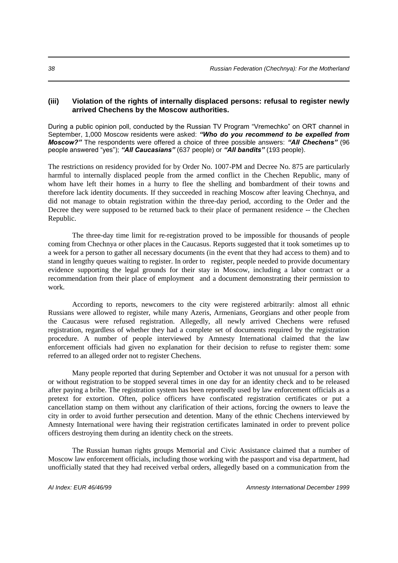#### **(iii) Violation of the rights of internally displaced persons: refusal to register newly arrived Chechens by the Moscow authorities.**

During a public opinion poll, conducted by the Russian TV Program "Vremechko" on ORT channel in September, 1,000 Moscow residents were asked: *"Who do you recommend to be expelled from Moscow?"* The respondents were offered a choice of three possible answers: *"All Chechens"* (96 people answered "yes"); *"All Caucasians"* (637 people) or *"All bandits"* (193 people).

The restrictions on residency provided for by Order No. 1007-PM and Decree No. 875 are particularly harmful to internally displaced people from the armed conflict in the Chechen Republic, many of whom have left their homes in a hurry to flee the shelling and bombardment of their towns and therefore lack identity documents. If they succeeded in reaching Moscow after leaving Chechnya, and did not manage to obtain registration within the three-day period, according to the Order and the Decree they were supposed to be returned back to their place of permanent residence -- the Chechen Republic.

The three-day time limit for re-registration proved to be impossible for thousands of people coming from Chechnya or other places in the Caucasus. Reports suggested that it took sometimes up to a week for a person to gather all necessary documents (in the event that they had access to them) and to stand in lengthy queues waiting to register. In order to register, people needed to provide documentary evidence supporting the legal grounds for their stay in Moscow, including a labor contract or a recommendation from their place of employment and a document demonstrating their permission to work.

According to reports, newcomers to the city were registered arbitrarily: almost all ethnic Russians were allowed to register, while many Azeris, Armenians, Georgians and other people from the Caucasus were refused registration. Allegedly, all newly arrived Chechens were refused registration, regardless of whether they had a complete set of documents required by the registration procedure. A number of people interviewed by Amnesty International claimed that the law enforcement officials had given no explanation for their decision to refuse to register them: some referred to an alleged order not to register Chechens.

Many people reported that during September and October it was not unusual for a person with or without registration to be stopped several times in one day for an identity check and to be released after paying a bribe. The registration system has been reportedly used by law enforcement officials as a pretext for extortion. Often, police officers have confiscated registration certificates or put a cancellation stamp on them without any clarification of their actions, forcing the owners to leave the city in order to avoid further persecution and detention. Many of the ethnic Chechens interviewed by Amnesty International were having their registration certificates laminated in order to prevent police officers destroying them during an identity check on the streets.

The Russian human rights groups Memorial and Civic Assistance claimed that a number of Moscow law enforcement officials, including those working with the passport and visa department, had unofficially stated that they had received verbal orders, allegedly based on a communication from the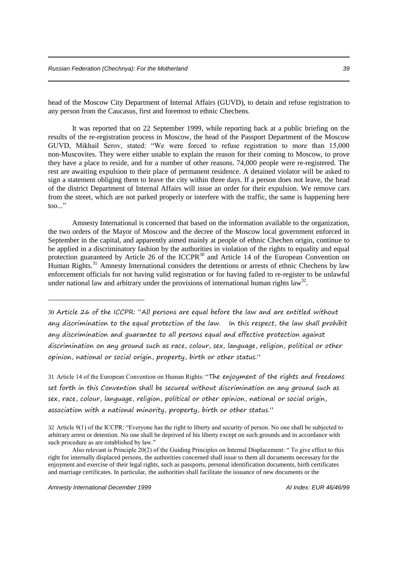head of the Moscow City Department of Internal Affairs (GUVD), to detain and refuse registration to any person from the Caucasus, first and foremost to ethnic Chechens.

It was reported that on 22 September 1999, while reporting back at a public briefing on the results of the re-registration process in Moscow, the head of the Passport Department of the Moscow GUVD, Mikhail Serov, stated: "We were forced to refuse registration to more than 15,000 non-Muscovites. They were either unable to explain the reason for their coming to Moscow, to prove they have a place to reside, and for a number of other reasons. 74,000 people were re-registered. The rest are awaiting expulsion to their place of permanent residence. A detained violator will be asked to sign a statement obliging them to leave the city within three days. If a person does not leave, the head of the district Department of Internal Affairs will issue an order for their expulsion. We remove cars from the street, which are not parked properly or interfere with the traffic, the same is happening here  $\text{too}$ ..."

Amnesty International is concerned that based on the information available to the organization, the two orders of the Mayor of Moscow and the decree of the Moscow local government enforced in September in the capital, and apparently aimed mainly at people of ethnic Chechen origin, continue to be applied in a discriminatory fashion by the authorities in violation of the rights to equality and equal protection guaranteed by Article 26 of the ICCPR<sup>30</sup> and Article 14 of the European Convention on Human Rights.<sup>31</sup> Amnesty International considers the detentions or arrests of ethnic Chechens by law enforcement officials for not having valid registration or for having failed to re-register to be unlawful under national law and arbitrary under the provisions of international human rights  $law^{32}$ .

30 Article 26 of the ICCPR: "All persons are equal before the law and are entitled without any discrimination to the equal protection of the law. In this respect, the law shall prohibit any discrimination and guarantee to all persons equal and effective protection against discrimination on any ground such as race, colour, sex, language, religion, political or other opinion, national or social origin, property, birth or other status."

31 Article 14 of the European Convention on Human Rights: "The enjoyment of the rights and freedoms set forth in this Convention shall be secured without discrimination on any ground such as sex, race, colour, language, religion, political or other opinion, national or social origin, association with a national minority, property, birth or other status."

*Amnesty International December 1999 AI Index: EUR 46/46/99*

<sup>32</sup> Article 9(1) of the ICCPR: "Everyone has the right to liberty and security of person. No one shall be subjected to arbitrary arrest or detention. No one shall be deprived of his liberty except on such grounds and in accordance with such procedure as are established by law."

Also relevant is Principle 20(2) of the Guiding Principles on Internal Displacement: " To give effect to this right for internally displaced persons, the authorities concerned shall issue to them all documents necessary for the enjoyment and exercise of their legal rights, such as passports, personal identification documents, birth certificates and marriage certificates. In particular, the authorities shall facilitate the issuance of new documents or the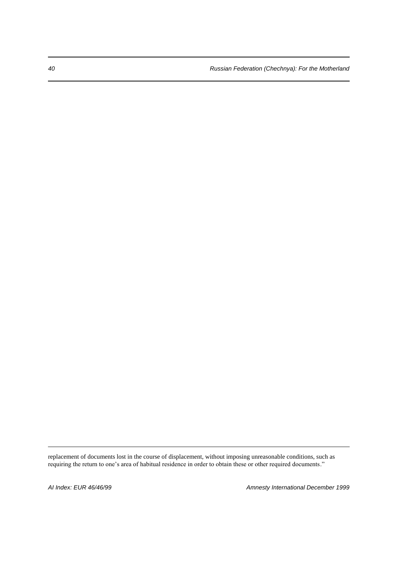replacement of documents lost in the course of displacement, without imposing unreasonable conditions, such as requiring the return to one's area of habitual residence in order to obtain these or other required documents."

-

*AI Index: EUR 46/46/99 Amnesty International December 1999*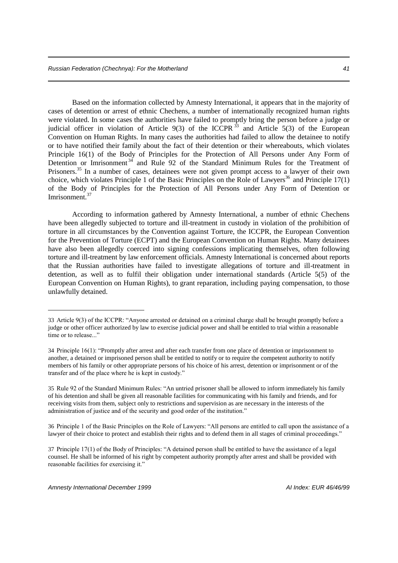Based on the information collected by Amnesty International, it appears that in the majority of cases of detention or arrest of ethnic Chechens, a number of internationally recognized human rights were violated. In some cases the authorities have failed to promptly bring the person before a judge or judicial officer in violation of Article 9(3) of the ICCPR  $33$  and Article 5(3) of the European Convention on Human Rights. In many cases the authorities had failed to allow the detainee to notify or to have notified their family about the fact of their detention or their whereabouts, which violates Principle 16(1) of the Body of Principles for the Protection of All Persons under Any Form of Detention or Imrisonment<sup>34</sup> and Rule 92 of the Standard Minimum Rules for the Treatment of Prisoners.<sup>35</sup> In a number of cases, detainees were not given prompt access to a lawyer of their own choice, which violates Principle 1 of the Basic Principles on the Role of Lawyers<sup>36</sup> and Principle  $17(1)$ of the Body of Principles for the Protection of All Persons under Any Form of Detention or Imrisonment.<sup>37</sup>

According to information gathered by Amnesty International, a number of ethnic Chechens have been allegedly subjected to torture and ill-treatment in custody in violation of the prohibition of torture in all circumstances by the Convention against Torture, the ICCPR, the European Convention for the Prevention of Torture (ECPT) and the European Convention on Human Rights. Many detainees have also been allegedly coerced into signing confessions implicating themselves, often following torture and ill-treatment by law enforcement officials. Amnesty International is concerned about reports that the Russian authorities have failed to investigate allegations of torture and ill-treatment in detention, as well as to fulfil their obligation under international standards (Article 5(5) of the European Convention on Human Rights), to grant reparation, including paying compensation, to those unlawfully detained.

35 Rule 92 of the Standard Minimum Rules: "An untried prisoner shall be allowed to inform immediately his family of his detention and shall be given all reasonable facilities for communicating with his family and friends, and for receiving visits from them, subject only to restrictions and supervision as are necessary in the interests of the administration of justice and of the security and good order of the institution."

36 Principle 1 of the Basic Principles on the Role of Lawyers: "All persons are entitled to call upon the assistance of a lawyer of their choice to protect and establish their rights and to defend them in all stages of criminal proceedings."

37 Principle 17(1) of the Body of Principles: "A detained person shall be entitled to have the assistance of a legal counsel. He shall be informed of his right by competent authority promptly after arrest and shall be provided with reasonable facilities for exercising it."

<sup>33</sup> Article 9(3) of the ICCPR: "Anyone arrested or detained on a criminal charge shall be brought promptly before a judge or other officer authorized by law to exercise judicial power and shall be entitled to trial within a reasonable time or to release..."

<sup>34</sup> Principle 16(1): "Promptly after arrest and after each transfer from one place of detention or imprisonment to another, a detained or imprisoned person shall be entitled to notify or to require the competent authority to notify members of his family or other appropriate persons of his choice of his arrest, detention or imprisonment or of the transfer and of the place where he is kept in custody."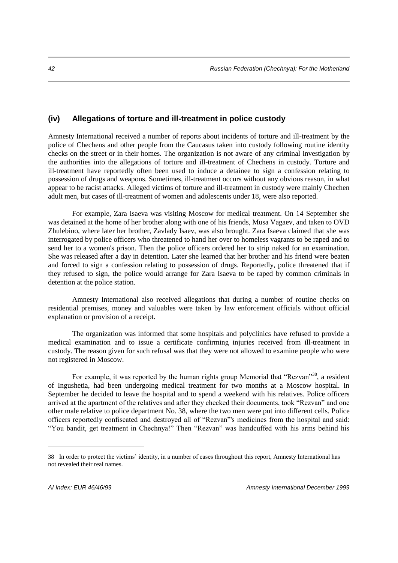# **(iv) Allegations of torture and ill-treatment in police custody**

Amnesty International received a number of reports about incidents of torture and ill-treatment by the police of Chechens and other people from the Caucasus taken into custody following routine identity checks on the street or in their homes. The organization is not aware of any criminal investigation by the authorities into the allegations of torture and ill-treatment of Chechens in custody. Torture and ill-treatment have reportedly often been used to induce a detainee to sign a confession relating to possession of drugs and weapons. Sometimes, ill-treatment occurs without any obvious reason, in what appear to be racist attacks. Alleged victims of torture and ill-treatment in custody were mainly Chechen adult men, but cases of ill-treatment of women and adolescents under 18, were also reported.

For example, Zara Isaeva was visiting Moscow for medical treatment. On 14 September she was detained at the home of her brother along with one of his friends, Musa Vagaev, and taken to OVD Zhulebino, where later her brother, Zavlady Isaev, was also brought. Zara Isaeva claimed that she was interrogated by police officers who threatened to hand her over to homeless vagrants to be raped and to send her to a women's prison. Then the police officers ordered her to strip naked for an examination. She was released after a day in detention. Later she learned that her brother and his friend were beaten and forced to sign a confession relating to possession of drugs. Reportedly, police threatened that if they refused to sign, the police would arrange for Zara Isaeva to be raped by common criminals in detention at the police station.

Amnesty International also received allegations that during a number of routine checks on residential premises, money and valuables were taken by law enforcement officials without official explanation or provision of a receipt.

The organization was informed that some hospitals and polyclinics have refused to provide a medical examination and to issue a certificate confirming injuries received from ill-treatment in custody. The reason given for such refusal was that they were not allowed to examine people who were not registered in Moscow.

For example, it was reported by the human rights group Memorial that "Rezvan"<sup>38</sup>, a resident of Ingushetia, had been undergoing medical treatment for two months at a Moscow hospital. In September he decided to leave the hospital and to spend a weekend with his relatives. Police officers arrived at the apartment of the relatives and after they checked their documents, took "Rezvan" and one other male relative to police department No. 38, where the two men were put into different cells. Police officers reportedly confiscated and destroyed all of "Rezvan"'s medicines from the hospital and said: "You bandit, get treatment in Chechnya!" Then "Rezvan" was handcuffed with his arms behind his

<sup>38</sup> In order to protect the victims' identity, in a number of cases throughout this report, Amnesty International has not revealed their real names.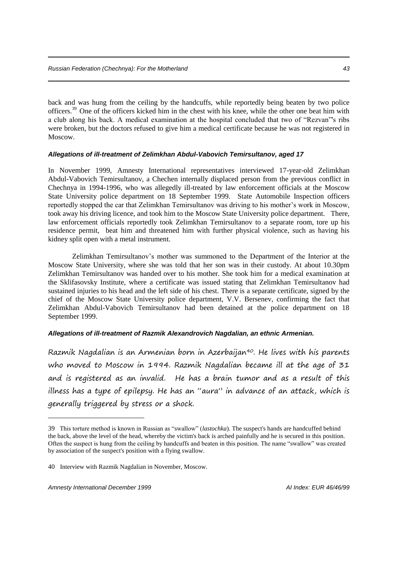back and was hung from the ceiling by the handcuffs, while reportedly being beaten by two police officers.<sup>39</sup> One of the officers kicked him in the chest with his knee, while the other one beat him with a club along his back. A medical examination at the hospital concluded that two of "Rezvan"'s ribs were broken, but the doctors refused to give him a medical certificate because he was not registered in Moscow.

# *Allegations of ill-treatment of Zelimkhan Abdul-Vabovich Temirsultanov, aged 17*

In November 1999, Amnesty International representatives interviewed 17-year-old Zelimkhan Abdul-Vabovich Temirsultanov, a Chechen internally displaced person from the previous conflict in Chechnya in 1994-1996, who was allegedly ill-treated by law enforcement officials at the Moscow State University police department on 18 September 1999. State Automobile Inspection officers reportedly stopped the car that Zelimkhan Temirsultanov was driving to his mother's work in Moscow, took away his driving licence, and took him to the Moscow State University police department. There, law enforcement officials reportedly took Zelimkhan Temirsultanov to a separate room, tore up his residence permit, beat him and threatened him with further physical violence, such as having his kidney split open with a metal instrument.

Zelimkhan Temirsultanov's mother was summoned to the Department of the Interior at the Moscow State University, where she was told that her son was in their custody. At about 10.30pm Zelimkhan Temirsultanov was handed over to his mother. She took him for a medical examination at the Sklifasovsky Institute, where a certificate was issued stating that Zelimkhan Temirsultanov had sustained injuries to his head and the left side of his chest. There is a separate certificate, signed by the chief of the Moscow State University police department, V.V. Bersenev, confirming the fact that Zelimkhan Abdul-Vabovich Temirsultanov had been detained at the police department on 18 September 1999.

# *Allegations of ill-treatment of Razmik Alexandrovich Nagdalian, an ethnic Armenian.*

Razmik Nagdalian is an Armenian born in Azerbaijan40. He lives with his parents who moved to Moscow in 1994. Razmik Nagdalian became ill at the age of 31 and is registered as an invalid. He has a brain tumor and as a result of this illness has a type of epilepsy. He has an "aura" in advance of an attack, which is generally triggered by stress or a shock.

<sup>39</sup> This torture method is known in Russian as "swallow" (*lastochka*). The suspect's hands are handcuffed behind the back, above the level of the head, whereby the victim's back is arched painfully and he is secured in this position. Often the suspect is hung from the ceiling by handcuffs and beaten in this position. The name "swallow" was created by association of the suspect's position with a flying swallow.

<sup>40</sup> Interview with Razmik Nagdalian in November, Moscow.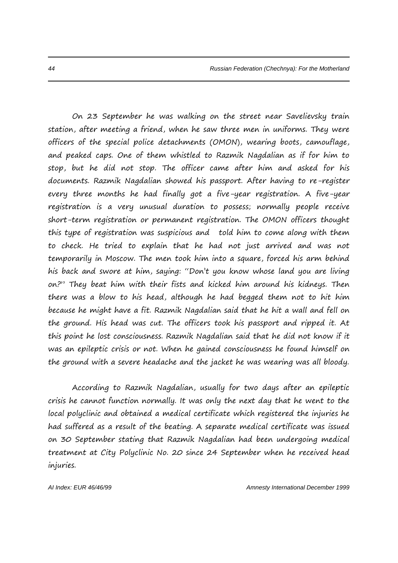On 23 September he was walking on the street near Savelievsky train station, after meeting a friend, when he saw three men in uniforms. They were officers of the special police detachments (OMON), wearing boots, camouflage, and peaked caps. One of them whistled to Razmik Nagdalian as if for him to stop, but he did not stop. The officer came after him and asked for his documents. Razmik Nagdalian showed his passport. After having to re-register every three months he had finally got a five-year registration. A five-year registration is a very unusual duration to possess; normally people receive short-term registration or permanent registration. The OMON officers thought this type of registration was suspicious and told him to come along with them to check. He tried to explain that he had not just arrived and was not temporarily in Moscow. The men took him into a square, forced his arm behind his back and swore at him, saying: "Don't you know whose land you are living on?" They beat him with their fists and kicked him around his kidneys. Then there was a blow to his head, although he had begged them not to hit him because he might have a fit. Razmik Nagdalian said that he hit a wall and fell on the ground. His head was cut. The officers took his passport and ripped it. At this point he lost consciousness. Razmik Nagdalian said that he did not know if it was an epileptic crisis or not. When he gained consciousness he found himself on the ground with a severe headache and the jacket he was wearing was all bloody.

According to Razmik Nagdalian, usually for two days after an epileptic crisis he cannot function normally. It was only the next day that he went to the local polyclinic and obtained a medical certificate which registered the injuries he had suffered as a result of the beating. A separate medical certificate was issued on 30 September stating that Razmik Nagdalian had been undergoing medical treatment at City Polyclinic No. 20 since 24 September when he received head injuries.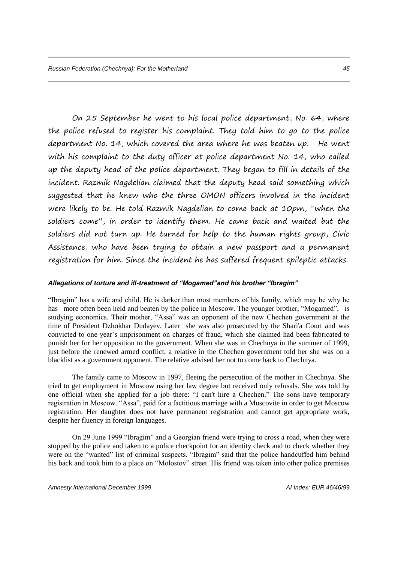On 25 September he went to his local police department, No. 64, where the police refused to register his complaint. They told him to go to the police department No. 14, which covered the area where he was beaten up. He went with his complaint to the duty officer at police department No. 14, who called up the deputy head of the police department. They began to fill in details of the incident. Razmik Nagdelian claimed that the deputy head said something which suggested that he knew who the three OMON officers involved in the incident were likely to be. He told Razmik Nagdelian to come back at 10pm, "when the soldiers come", in order to identify them. He came back and waited but the soldiers did not turn up. He turned for help to the human rights group, Civic Assistance, who have been trying to obtain a new passport and a permanent registration for him. Since the incident he has suffered frequent epileptic attacks.

#### *Allegations of torture and ill-treatment of "Mogamed"and his brother "Ibragim"*

"Ibragim" has a wife and child. He is darker than most members of his family, which may be why he has more often been held and beaten by the police in Moscow. The younger brother, "Mogamed", is studying economics. Their mother, "Assa" was an opponent of the new Chechen government at the time of President Dzhokhar Dudayev. Later she was also prosecuted by the Shari'a Court and was convicted to one year's imprisonment on charges of fraud, which she claimed had been fabricated to punish her for her opposition to the government. When she was in Chechnya in the summer of 1999, just before the renewed armed conflict, a relative in the Chechen government told her she was on a blacklist as a government opponent. The relative advised her not to come back to Chechnya.

The family came to Moscow in 1997, fleeing the persecution of the mother in Chechnya. She tried to get employment in Moscow using her law degree but received only refusals. She was told by one official when she applied for a job there: "I can't hire a Chechen." The sons have temporary registration in Moscow. "Assa", paid for a factitious marriage with a Muscovite in order to get Moscow registration. Her daughter does not have permanent registration and cannot get appropriate work, despite her fluency in foreign languages.

On 29 June 1999 "Ibragim" and a Georgian friend were trying to cross a road, when they were stopped by the police and taken to a police checkpoint for an identity check and to check whether they were on the "wanted" list of criminal suspects. "Ibragim" said that the police handcuffed him behind his back and took him to a place on "Molostov" street. His friend was taken into other police premises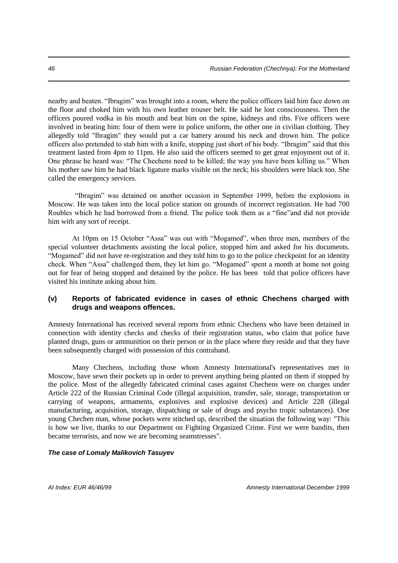nearby and beaten. "Ibragim" was brought into a room, where the police officers laid him face down on the floor and choked him with his own leather trouser belt. He said he lost consciousness. Then the officers poured vodka in his mouth and beat him on the spine, kidneys and ribs. Five officers were involved in beating him: four of them were in police uniform, the other one in civilian clothing. They allegedly told "Ibragim" they would put a car battery around his neck and drown him. The police officers also pretended to stab him with a knife, stopping just short of his body. "Ibragim" said that this treatment lasted from 4pm to 11pm. He also said the officers seemed to get great enjoyment out of it. One phrase he heard was: "The Chechens need to be killed; the way you have been killing us." When his mother saw him he had black ligature marks visible on the neck; his shoulders were black too. She called the emergency services.

"Ibragim" was detained on another occasion in September 1999, before the explosions in Moscow. He was taken into the local police station on grounds of incorrect registration. He had 700 Roubles which he had borrowed from a friend. The police took them as a "fine"and did not provide him with any sort of receipt.

At 10pm on 15 October "Assa" was out with "Mogamed", when three men, members of the special volunteer detachments assisting the local police, stopped him and asked for his documents. "Mogamed" did not have re-registration and they told him to go to the police checkpoint for an identity check. When "Assa" challenged them, they let him go. "Mogamed" spent a month at home not going out for fear of being stopped and detained by the police. He has been told that police officers have visited his institute asking about him.

# **(v) Reports of fabricated evidence in cases of ethnic Chechens charged with drugs and weapons offences.**

Amnesty International has received several reports from ethnic Chechens who have been detained in connection with identity checks and checks of their registration status, who claim that police have planted drugs, guns or ammunition on their person or in the place where they reside and that they have been subsequently charged with possession of this contraband.

Many Chechens, including those whom Amnesty International's representatives met in Moscow, have sewn their pockets up in order to prevent anything being planted on them if stopped by the police. Most of the allegedly fabricated criminal cases against Chechens were on charges under Article 222 of the Russian Criminal Code (illegal acquisition, transfer, sale, storage, transportation or carrying of weapons, armaments, explosives and explosive devices) and Article 228 (illegal manufacturing, acquisition, storage, dispatching or sale of drugs and psycho tropic substances). One young Chechen man, whose pockets were stitched up, described the situation the following way: "This is how we live, thanks to our Department on Fighting Organized Crime. First we were bandits, then became terrorists, and now we are becoming seamstresses".

#### *The case of Lomaly Malikovich Tasuyev*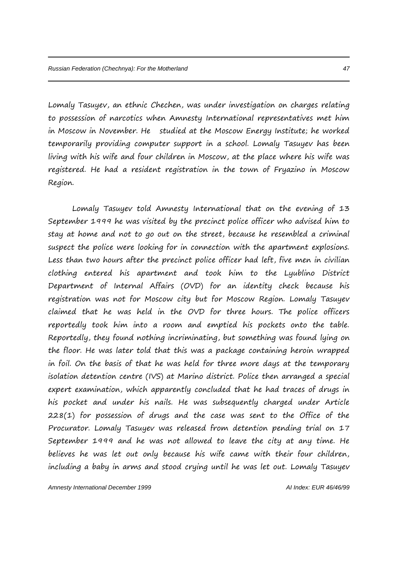Lomaly Tasuyev, an ethnic Chechen, was under investigation on charges relating to possession of narcotics when Amnesty International representatives met him in Moscow in November. He studied at the Moscow Energy Institute; he worked temporarily providing computer support in a school. Lomaly Tasuyev has been living with his wife and four children in Moscow, at the place where his wife was registered. He had a resident registration in the town of Fryazino in Moscow Region.

Lomaly Tasuyev told Amnesty International that on the evening of 13 September 1999 he was visited by the precinct police officer who advised him to stay at home and not to go out on the street, because he resembled a criminal suspect the police were looking for in connection with the apartment explosions. Less than two hours after the precinct police officer had left, five men in civilian clothing entered his apartment and took him to the Lyublino District Department of Internal Affairs (OVD) for an identity check because his registration was not for Moscow city but for Moscow Region. Lomaly Tasuyev claimed that he was held in the OVD for three hours. The police officers reportedly took him into a room and emptied his pockets onto the table. Reportedly, they found nothing incriminating, but something was found lying on the floor. He was later told that this was a package containing heroin wrapped in foil. On the basis of that he was held for three more days at the temporary isolation detention centre (IVS) at Marino district. Police then arranged a special expert examination, which apparently concluded that he had traces of drugs in his pocket and under his nails. He was subsequently charged under Article 228(1) for possession of drugs and the case was sent to the Office of the Procurator. Lomaly Tasuyev was released from detention pending trial on 17 September 1999 and he was not allowed to leave the city at any time. He believes he was let out only because his wife came with their four children, including a baby in arms and stood crying until he was let out. Lomaly Tasuyev

*Amnesty International December 1999 AI Index: EUR 46/46/99*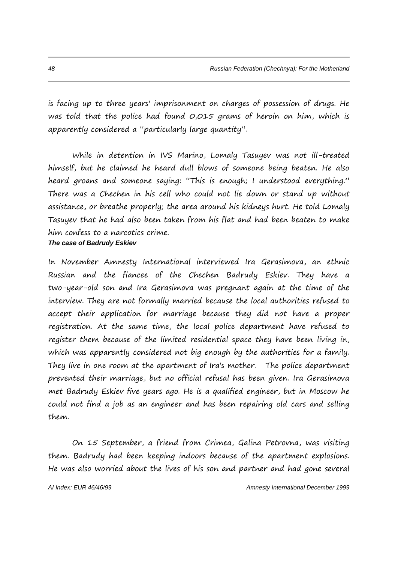is facing up to three years' imprisonment on charges of possession of drugs. He was told that the police had found 0,015 grams of heroin on him, which is apparently considered a "particularly large quantity".

While in detention in IVS Marino, Lomaly Tasuyev was not ill-treated himself, but he claimed he heard dull blows of someone being beaten. He also heard groans and someone saying: "This is enough; I understood everything." There was a Chechen in his cell who could not lie down or stand up without assistance, or breathe properly; the area around his kidneys hurt. He told Lomaly Tasuyev that he had also been taken from his flat and had been beaten to make him confess to a narcotics crime. *The case of Badrudy Eskiev*

In November Amnesty International interviewed Ira Gerasimova, an ethnic Russian and the fiancee of the Chechen Badrudy Eskiev. They have a two-year-old son and Ira Gerasimova was pregnant again at the time of the interview. They are not formally married because the local authorities refused to accept their application for marriage because they did not have a proper registration. At the same time, the local police department have refused to register them because of the limited residential space they have been living in, which was apparently considered not big enough by the authorities for a family. They live in one room at the apartment of Ira's mother. The police department prevented their marriage, but no official refusal has been given. Ira Gerasimova met Badrudy Eskiev five years ago. He is a qualified engineer, but in Moscow he could not find a job as an engineer and has been repairing old cars and selling them.

On 15 September, a friend from Crimea, Galina Petrovna, was visiting them. Badrudy had been keeping indoors because of the apartment explosions. He was also worried about the lives of his son and partner and had gone several

*AI Index: EUR 46/46/99 Amnesty International December 1999*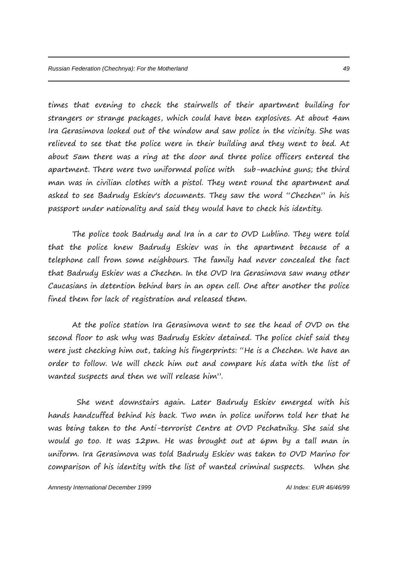times that evening to check the stairwells of their apartment building for strangers or strange packages, which could have been explosives. At about 4am Ira Gerasimova looked out of the window and saw police in the vicinity. She was relieved to see that the police were in their building and they went to bed. At about 5am there was a ring at the door and three police officers entered the apartment. There were two uniformed police with sub-machine guns; the third man was in civilian clothes with a pistol. They went round the apartment and asked to see Badrudy Eskiev's documents. They saw the word "Chechen" in his passport under nationality and said they would have to check his identity.

The police took Badrudy and Ira in a car to OVD Lublino. They were told that the police knew Badrudy Eskiev was in the apartment because of a telephone call from some neighbours. The family had never concealed the fact that Badrudy Eskiev was a Chechen. In the OVD Ira Gerasimova saw many other Caucasians in detention behind bars in an open cell. One after another the police fined them for lack of registration and released them.

At the police station Ira Gerasimova went to see the head of OVD on the second floor to ask why was Badrudy Eskiev detained. The police chief said they were just checking him out, taking his fingerprints: "He is a Chechen. We have an order to follow. We will check him out and compare his data with the list of wanted suspects and then we will release him".

She went downstairs again. Later Badrudy Eskiev emerged with his hands handcuffed behind his back. Two men in police uniform told her that he was being taken to the Anti-terrorist Centre at OVD Pechatniky. She said she would go too. It was 12pm. He was brought out at 6pm by a tall man in uniform. Ira Gerasimova was told Badrudy Eskiev was taken to OVD Marino for comparison of his identity with the list of wanted criminal suspects. When she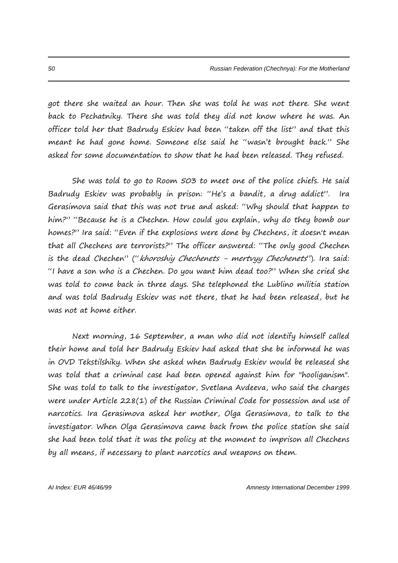got there she waited an hour. Then she was told he was not there. She went back to Pechatniky. There she was told they did not know where he was. An officer told her that Badrudy Eskiev had been "taken off the list" and that this meant he had gone home. Someone else said he "wasn't brought back." She asked for some documentation to show that he had been released. They refused.

She was told to go to Room 503 to meet one of the police chiefs. He said Badrudy Eskiev was probably in prison: "He's a bandit, a drug addict". Ira Gerasimova said that this was not true and asked: "Why should that happen to him?" "Because he is a Chechen. How could you explain, why do they bomb our homes?" Ira said: "Even if the explosions were done by Chechens, it doesn't mean that all Chechens are terrorists?" The officer answered: "The only good Chechen is the dead Chechen" ("khoroshiy Chechenets - mertvyy Chechenets"). Ira said: "I have a son who is a Chechen. Do you want him dead too?" When she cried she was told to come back in three days. She telephoned the Lublino militia station and was told Badrudy Eskiev was not there, that he had been released, but he was not at home either.

Next morning, 16 September, a man who did not identify himself called their home and told her Badrudy Eskiev had asked that she be informed he was in OVD Tekstilshiky. When she asked when Badrudy Eskiev would be released she was told that a criminal case had been opened against him for "hooliganism". She was told to talk to the investigator, Svetlana Avdeeva, who said the charges were under Article 228(1) of the Russian Criminal Code for possession and use of narcotics. Ira Gerasimova asked her mother, Olga Gerasimova, to talk to the investigator. When Olga Gerasimova came back from the police station she said she had been told that it was the policy at the moment to imprison all Chechens by all means, if necessary to plant narcotics and weapons on them.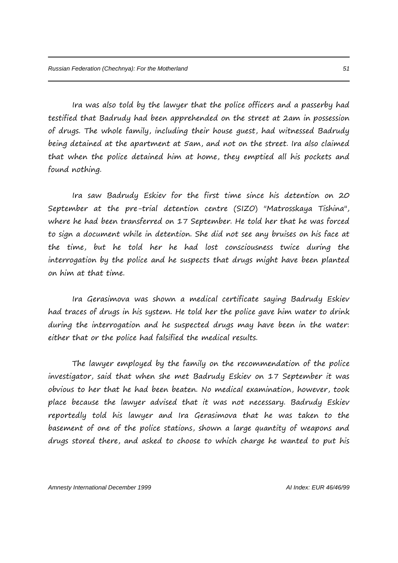Ira was also told by the lawyer that the police officers and a passerby had testified that Badrudy had been apprehended on the street at 2am in possession of drugs. The whole family, including their house guest, had witnessed Badrudy being detained at the apartment at 5am, and not on the street. Ira also claimed that when the police detained him at home, they emptied all his pockets and found nothing.

Ira saw Badrudy Eskiev for the first time since his detention on 20 September at the pre-trial detention centre (SIZO) "Matrosskaya Tishina", where he had been transferred on 17 September. He told her that he was forced to sign a document while in detention. She did not see any bruises on his face at the time, but he told her he had lost consciousness twice during the interrogation by the police and he suspects that drugs might have been planted on him at that time.

Ira Gerasimova was shown a medical certificate saying Badrudy Eskiev had traces of drugs in his system. He told her the police gave him water to drink during the interrogation and he suspected drugs may have been in the water: either that or the police had falsified the medical results.

The lawyer employed by the family on the recommendation of the police investigator, said that when she met Badrudy Eskiev on 17 September it was obvious to her that he had been beaten. No medical examination, however, took place because the lawyer advised that it was not necessary. Badrudy Eskiev reportedly told his lawyer and Ira Gerasimova that he was taken to the basement of one of the police stations, shown a large quantity of weapons and drugs stored there, and asked to choose to which charge he wanted to put his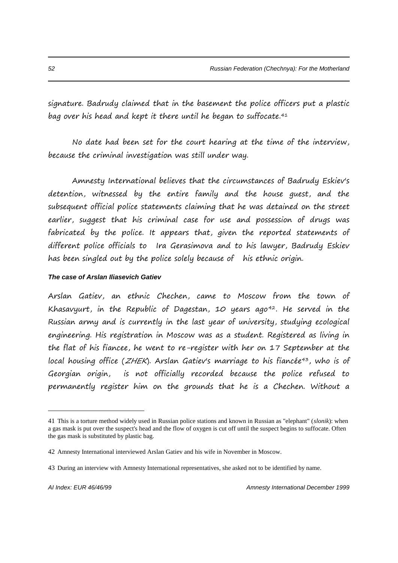signature. Badrudy claimed that in the basement the police officers put a plastic bag over his head and kept it there until he began to suffocate.<sup>41</sup>

No date had been set for the court hearing at the time of the interview, because the criminal investigation was still under way.

Amnesty International believes that the circumstances of Badrudy Eskiev's detention, witnessed by the entire family and the house guest, and the subsequent official police statements claiming that he was detained on the street earlier, suggest that his criminal case for use and possession of drugs was fabricated by the police. It appears that, given the reported statements of different police officials to Ira Gerasimova and to his lawyer, Badrudy Eskiev has been singled out by the police solely because of his ethnic origin.

### *The case of Arslan Iliasevich Gatiev*

Arslan Gatiev, an ethnic Chechen, came to Moscow from the town of Khasavyurt, in the Republic of Dagestan,  $10$  years ago<sup>42</sup>. He served in the Russian army and is currently in the last year of university, studying ecological engineering. His registration in Moscow was as a student. Registered as living in the flat of his fiancee, he went to re-register with her on 17 September at the local housing office ( $ZHEK$ ). Arslan Gatiev's marriage to his fiancée<sup>43</sup>, who is of Georgian origin, is not officially recorded because the police refused to permanently register him on the grounds that he is a Chechen. Without a

<sup>41</sup> This is a torture method widely used in Russian police stations and known in Russian as "elephant" (*slonik*): when a gas mask is put over the suspect's head and the flow of oxygen is cut off until the suspect begins to suffocate. Often the gas mask is substituted by plastic bag.

<sup>42</sup> Amnesty International interviewed Arslan Gatiev and his wife in November in Moscow.

<sup>43</sup> During an interview with Amnesty International representatives, she asked not to be identified by name.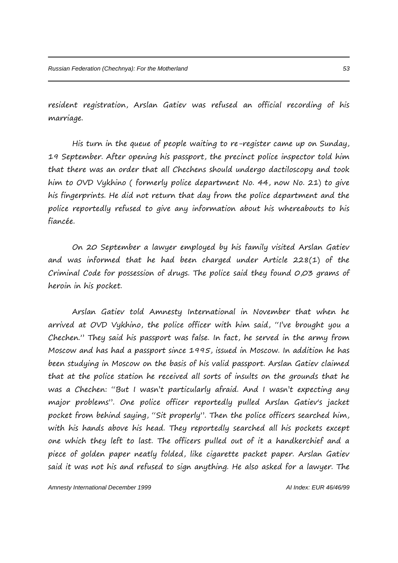resident registration, Arslan Gatiev was refused an official recording of his marriage.

His turn in the queue of people waiting to re-register came up on Sunday, 19 September. After opening his passport, the precinct police inspector told him that there was an order that all Chechens should undergo dactiloscopy and took him to OVD Vykhino ( formerly police department No. 44, now No. 21) to give his fingerprints. He did not return that day from the police department and the police reportedly refused to give any information about his whereabouts to his fiancée.

On 20 September a lawyer employed by his family visited Arslan Gatiev and was informed that he had been charged under Article 228(1) of the Criminal Code for possession of drugs. The police said they found 0,03 grams of heroin in his pocket.

Arslan Gatiev told Amnesty International in November that when he arrived at OVD Vykhino, the police officer with him said, "I've brought you a Chechen." They said his passport was false. In fact, he served in the army from Moscow and has had a passport since 1995, issued in Moscow. In addition he has been studying in Moscow on the basis of his valid passport. Arslan Gatiev claimed that at the police station he received all sorts of insults on the grounds that he was a Chechen: "But I wasn't particularly afraid. And I wasn't expecting any major problems". One police officer reportedly pulled Arslan Gatiev's jacket pocket from behind saying, "Sit properly". Then the police officers searched him, with his hands above his head. They reportedly searched all his pockets except one which they left to last. The officers pulled out of it a handkerchief and a piece of golden paper neatly folded, like cigarette packet paper. Arslan Gatiev said it was not his and refused to sign anything. He also asked for a lawyer. The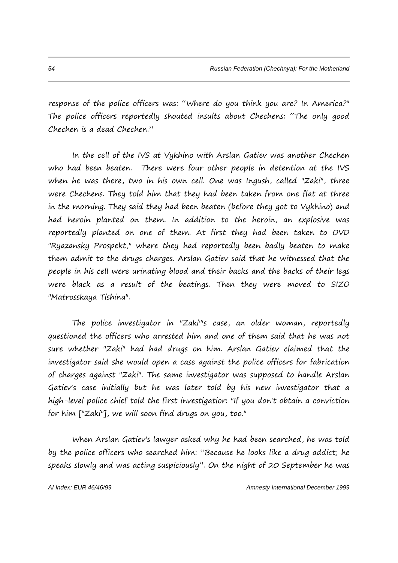response of the police officers was: "Where do you think you are? In America?" The police officers reportedly shouted insults about Chechens: "The only good Chechen is a dead Chechen."

In the cell of the IVS at Vykhino with Arslan Gatiev was another Chechen who had been beaten. There were four other people in detention at the IVS when he was there, two in his own cell. One was Ingush, called "Zaki", three were Chechens. They told him that they had been taken from one flat at three in the morning. They said they had been beaten (before they got to Vykhino) and had heroin planted on them. In addition to the heroin, an explosive was reportedly planted on one of them. At first they had been taken to OVD "Ryazansky Prospekt," where they had reportedly been badly beaten to make them admit to the drugs charges. Arslan Gatiev said that he witnessed that the people in his cell were urinating blood and their backs and the backs of their legs were black as a result of the beatings. Then they were moved to SIZO "Matrosskaya Tishina".

The police investigator in "Zaki"'s case, an older woman, reportedly questioned the officers who arrested him and one of them said that he was not sure whether "Zaki" had had drugs on him. Arslan Gatiev claimed that the investigator said she would open a case against the police officers for fabrication of charges against "Zaki". The same investigator was supposed to handle Arslan Gatiev's case initially but he was later told by his new investigator that a high-level police chief told the first investigatior: "If you don't obtain a conviction for him ["Zaki"], we will soon find drugs on you, too."

When Arslan Gatiev's lawyer asked why he had been searched, he was told by the police officers who searched him: "Because he looks like a drug addict; he speaks slowly and was acting suspiciously". On the night of 20 September he was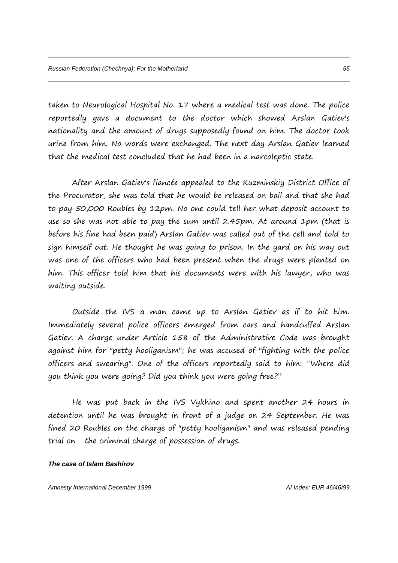taken to Neurological Hospital No. 17 where a medical test was done. The police reportedly gave a document to the doctor which showed Arslan Gatiev's nationality and the amount of drugs supposedly found on him. The doctor took urine from him. No words were exchanged. The next day Arslan Gatiev learned that the medical test concluded that he had been in a narcoleptic state.

After Arslan Gatiev's fiancée appealed to the Kuzminskiy District Office of the Procurator, she was told that he would be released on bail and that she had to pay 50,000 Roubles by 12pm. No one could tell her what deposit account to use so she was not able to pay the sum until 2.45pm. At around 1pm (that is before his fine had been paid) Arslan Gatiev was called out of the cell and told to sign himself out. He thought he was going to prison. In the yard on his way out was one of the officers who had been present when the drugs were planted on him. This officer told him that his documents were with his lawyer, who was waiting outside.

Outside the IVS a man came up to Arslan Gatiev as if to hit him. Immediately several police officers emerged from cars and handcuffed Arslan Gatiev. A charge under Article 158 of the Administrative Code was brought against him for "petty hooliganism"; he was accused of "fighting with the police officers and swearing". One of the officers reportedly said to him: "Where did you think you were going? Did you think you were going free?"

He was put back in the IVS Vykhino and spent another 24 hours in detention until he was brought in front of a judge on 24 September. He was fined 20 Roubles on the charge of "petty hooliganism" and was released pending trial on the criminal charge of possession of drugs.

#### *The case of Islam Bashirov*

*Amnesty International December 1999 AI Index: EUR 46/46/99*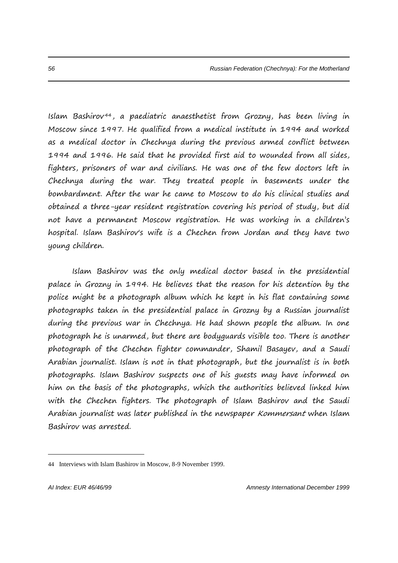Islam Bashirov <sup>44</sup> , a paediatric anaesthetist from Grozny, has been living in Moscow since 1997. He qualified from a medical institute in 1994 and worked as a medical doctor in Chechnya during the previous armed conflict between 1994 and 1996. He said that he provided first aid to wounded from all sides, fighters, prisoners of war and civilians. He was one of the few doctors left in Chechnya during the war. They treated people in basements under the bombardment. After the war he came to Moscow to do his clinical studies and obtained a three-year resident registration covering his period of study, but did not have a permanent Moscow registration. He was working in a children's hospital. Islam Bashirov's wife is a Chechen from Jordan and they have two young children.

Islam Bashirov was the only medical doctor based in the presidential palace in Grozny in 1994. He believes that the reason for his detention by the police might be a photograph album which he kept in his flat containing some photographs taken in the presidential palace in Grozny by a Russian journalist during the previous war in Chechnya. He had shown people the album. In one photograph he is unarmed, but there are bodyguards visible too. There is another photograph of the Chechen fighter commander, Shamil Basayev, and a Saudi Arabian journalist. Islam is not in that photograph, but the journalist is in both photographs. Islam Bashirov suspects one of his guests may have informed on him on the basis of the photographs, which the authorities believed linked him with the Chechen fighters. The photograph of Islam Bashirov and the Saudi Arabian journalist was later published in the newspaper Kommersant when Islam Bashirov was arrested.

<sup>44</sup> Interviews with Islam Bashirov in Moscow, 8-9 November 1999.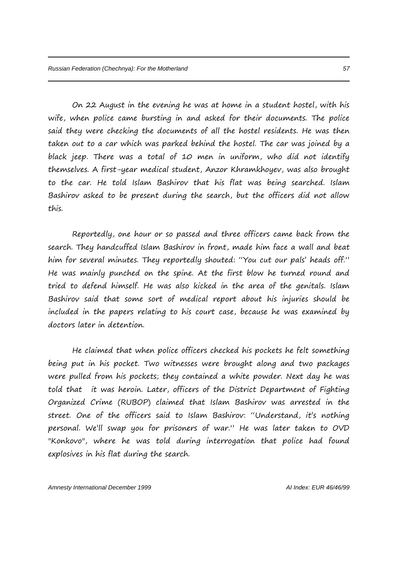On 22 August in the evening he was at home in a student hostel, with his wife, when police came bursting in and asked for their documents. The police said they were checking the documents of all the hostel residents. He was then taken out to a car which was parked behind the hostel. The car was joined by a black jeep. There was a total of 10 men in uniform, who did not identify themselves. A first-year medical student, Anzor Khramkhoyev, was also brought to the car. He told Islam Bashirov that his flat was being searched. Islam Bashirov asked to be present during the search, but the officers did not allow this.

Reportedly, one hour or so passed and three officers came back from the search. They handcuffed Islam Bashirov in front, made him face a wall and beat him for several minutes. They reportedly shouted: "You cut our pals' heads off." He was mainly punched on the spine. At the first blow he turned round and tried to defend himself. He was also kicked in the area of the genitals. Islam Bashirov said that some sort of medical report about his injuries should be included in the papers relating to his court case, because he was examined by doctors later in detention.

He claimed that when police officers checked his pockets he felt something being put in his pocket. Two witnesses were brought along and two packages were pulled from his pockets; they contained a white powder. Next day he was told that it was heroin. Later, officers of the District Department of Fighting Organized Crime (RUBOP) claimed that Islam Bashirov was arrested in the street. One of the officers said to Islam Bashirov: "Understand, it's nothing personal. We'll swap you for prisoners of war." He was later taken to OVD "Konkovo", where he was told during interrogation that police had found explosives in his flat during the search.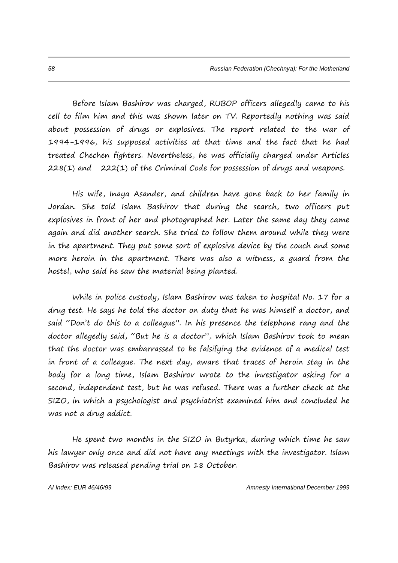Before Islam Bashirov was charged, RUBOP officers allegedly came to his cell to film him and this was shown later on TV. Reportedly nothing was said about possession of drugs or explosives. The report related to the war of 1994-1996, his supposed activities at that time and the fact that he had treated Chechen fighters. Nevertheless, he was officially charged under Articles 228(1) and 222(1) of the Criminal Code for possession of drugs and weapons.

His wife, Inaya Asander, and children have gone back to her family in Jordan. She told Islam Bashirov that during the search, two officers put explosives in front of her and photographed her. Later the same day they came again and did another search. She tried to follow them around while they were in the apartment. They put some sort of explosive device by the couch and some more heroin in the apartment. There was also a witness, a guard from the hostel, who said he saw the material being planted.

While in police custody, Islam Bashirov was taken to hospital No. 17 for a drug test. He says he told the doctor on duty that he was himself a doctor, and said "Don't do this to a colleague". In his presence the telephone rang and the doctor allegedly said, "But he is a doctor", which Islam Bashirov took to mean that the doctor was embarrassed to be falsifying the evidence of a medical test in front of a colleague. The next day, aware that traces of heroin stay in the body for a long time, Islam Bashirov wrote to the investigator asking for a second, independent test, but he was refused. There was a further check at the SIZO, in which a psychologist and psychiatrist examined him and concluded he was not a drug addict.

He spent two months in the SIZO in Butyrka, during which time he saw his lawyer only once and did not have any meetings with the investigator. Islam Bashirov was released pending trial on 18 October.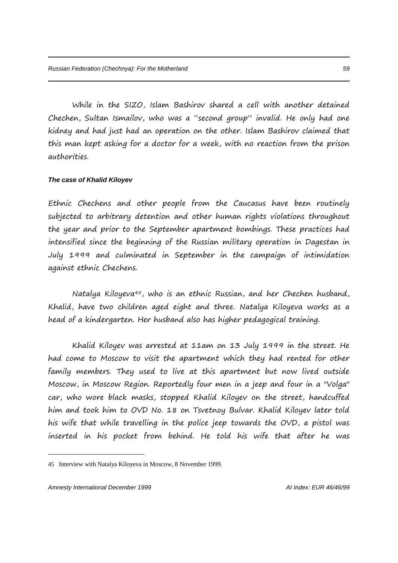While in the SIZO, Islam Bashirov shared a cell with another detained Chechen, Sultan Ismailov, who was a "second group" invalid. He only had one kidney and had just had an operation on the other. Islam Bashirov claimed that this man kept asking for a doctor for a week, with no reaction from the prison authorities.

#### *The case of Khalid Kiloyev*

Ethnic Chechens and other people from the Caucasus have been routinely subjected to arbitrary detention and other human rights violations throughout the year and prior to the September apartment bombings. These practices had intensified since the beginning of the Russian military operation in Dagestan in July 1999 and culminated in September in the campaign of intimidation against ethnic Chechens.

Natalya Kiloyeva<sup>45</sup>, who is an ethnic Russian, and her Chechen husband, Khalid, have two children aged eight and three. Natalya Kiloyeva works as a head of a kindergarten. Her husband also has higher pedagogical training.

Khalid Kiloyev was arrested at 11am on 13 July 1999 in the street. He had come to Moscow to visit the apartment which they had rented for other family members. They used to live at this apartment but now lived outside Moscow, in Moscow Region. Reportedly four men in a jeep and four in a "Volga" car, who wore black masks, stopped Khalid Kiloyev on the street, handcuffed him and took him to OVD No. 18 on Tsvetnoy Bulvar. Khalid Kiloyev later told his wife that while travelling in the police jeep towards the OVD, a pistol was inserted in his pocket from behind. He told his wife that after he was

<sup>45</sup> Interview with Natalya Kiloyeva in Moscow, 8 November 1999.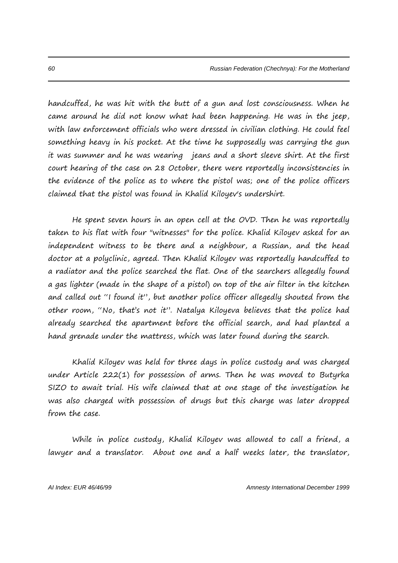handcuffed, he was hit with the butt of a gun and lost consciousness. When he came around he did not know what had been happening. He was in the jeep, with law enforcement officials who were dressed in civilian clothing. He could feel something heavy in his pocket. At the time he supposedly was carrying the gun it was summer and he was wearing jeans and a short sleeve shirt. At the first court hearing of the case on 28 October, there were reportedly inconsistencies in the evidence of the police as to where the pistol was; one of the police officers claimed that the pistol was found in Khalid Kiloyev's undershirt.

He spent seven hours in an open cell at the OVD. Then he was reportedly taken to his flat with four "witnesses" for the police. Khalid Kiloyev asked for an independent witness to be there and a neighbour, a Russian, and the head doctor at a polyclinic, agreed. Then Khalid Kiloyev was reportedly handcuffed to a radiator and the police searched the flat. One of the searchers allegedly found a gas lighter (made in the shape of a pistol) on top of the air filter in the kitchen and called out "I found it", but another police officer allegedly shouted from the other room, "No, that's not it". Natalya Kiloyeva believes that the police had already searched the apartment before the official search, and had planted a hand grenade under the mattress, which was later found during the search.

Khalid Kiloyev was held for three days in police custody and was charged under Article 222(1) for possession of arms. Then he was moved to Butyrka SIZO to await trial. His wife claimed that at one stage of the investigation he was also charged with possession of drugs but this charge was later dropped from the case.

While in police custody, Khalid Kiloyev was allowed to call a friend, a lawyer and a translator. About one and a half weeks later, the translator,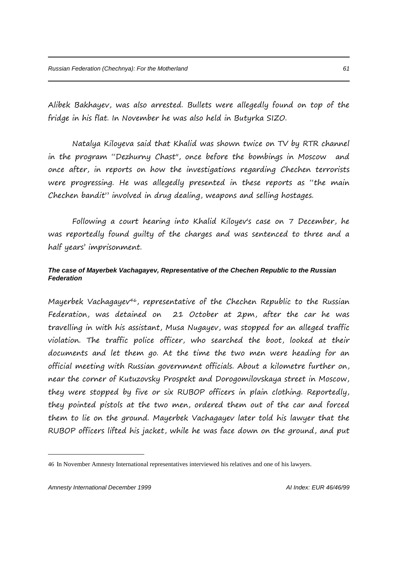Alibek Bakhayev, was also arrested. Bullets were allegedly found on top of the fridge in his flat. In November he was also held in Butyrka SIZO.

Natalya Kiloyeva said that Khalid was shown twice on TV by RTR channel in the program "Dezhurny Chast", once before the bombings in Moscow and once after, in reports on how the investigations regarding Chechen terrorists were progressing. He was allegedly presented in these reports as "the main Chechen bandit" involved in drug dealing, weapons and selling hostages.

Following a court hearing into Khalid Kiloyev's case on 7 December, he was reportedly found guilty of the charges and was sentenced to three and a half years' imprisonment.

# *The case of Mayerbek Vachagayev, Representative of the Chechen Republic to the Russian Federation*

Mayerbek Vachagayev<sup>46</sup>, representative of the Chechen Republic to the Russian Federation, was detained on 21 October at 2pm, after the car he was travelling in with his assistant, Musa Nugayev, was stopped for an alleged traffic violation. The traffic police officer, who searched the boot, looked at their documents and let them go. At the time the two men were heading for an official meeting with Russian government officials. About a kilometre further on, near the corner of Kutuzovsky Prospekt and Dorogomilovskaya street in Moscow, they were stopped by five or six RUBOP officers in plain clothing. Reportedly, they pointed pistols at the two men, ordered them out of the car and forced them to lie on the ground. Mayerbek Vachagayev later told his lawyer that the RUBOP officers lifted his jacket, while he was face down on the ground, and put

<sup>46</sup> In November Amnesty International representatives interviewed his relatives and one of his lawyers.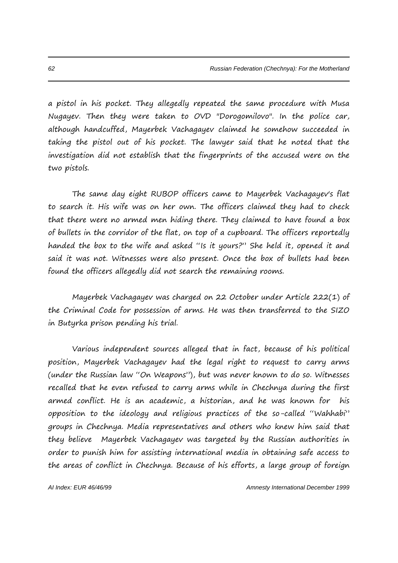a pistol in his pocket. They allegedly repeated the same procedure with Musa Nugayev. Then they were taken to OVD "Dorogomilovo". In the police car, although handcuffed, Mayerbek Vachagayev claimed he somehow succeeded in taking the pistol out of his pocket. The lawyer said that he noted that the investigation did not establish that the fingerprints of the accused were on the two pistols.

The same day eight RUBOP officers came to Mayerbek Vachagayev's flat to search it. His wife was on her own. The officers claimed they had to check that there were no armed men hiding there. They claimed to have found a box of bullets in the corridor of the flat, on top of a cupboard. The officers reportedly handed the box to the wife and asked "Is it yours?" She held it, opened it and said it was not. Witnesses were also present. Once the box of bullets had been found the officers allegedly did not search the remaining rooms.

Mayerbek Vachagayev was charged on 22 October under Article 222(1) of the Criminal Code for possession of arms. He was then transferred to the SIZO in Butyrka prison pending his trial.

Various independent sources alleged that in fact, because of his political position, Mayerbek Vachagayev had the legal right to request to carry arms (under the Russian law "On Weapons"), but was never known to do so. Witnesses recalled that he even refused to carry arms while in Chechnya during the first armed conflict. He is an academic, a historian, and he was known for his opposition to the ideology and religious practices of the so-called "Wahhabi" groups in Chechnya. Media representatives and others who knew him said that they believe Mayerbek Vachagayev was targeted by the Russian authorities in order to punish him for assisting international media in obtaining safe access to the areas of conflict in Chechnya. Because of his efforts, a large group of foreign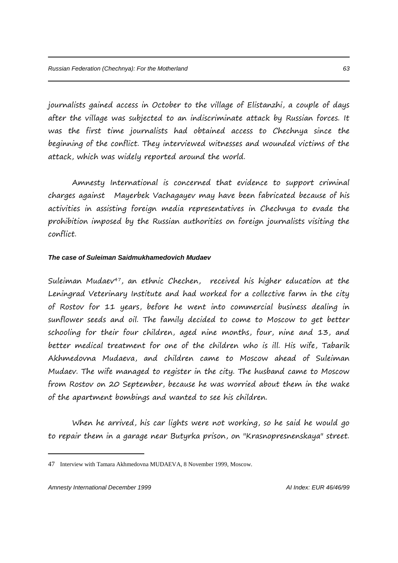journalists gained access in October to the village of Elistanzhi, a couple of days after the village was subjected to an indiscriminate attack by Russian forces. It was the first time journalists had obtained access to Chechnya since the beginning of the conflict. They interviewed witnesses and wounded victims of the attack, which was widely reported around the world.

Amnesty International is concerned that evidence to support criminal charges against Mayerbek Vachagayev may have been fabricated because of his activities in assisting foreign media representatives in Chechnya to evade the prohibition imposed by the Russian authorities on foreign journalists visiting the conflict.

# *The case of Suleiman Saidmukhamedovich Mudaev*

Suleiman Mudaev<sup>47</sup>, an ethnic Chechen, received his higher education at the Leningrad Veterinary Institute and had worked for a collective farm in the city of Rostov for 11 years, before he went into commercial business dealing in sunflower seeds and oil. The family decided to come to Moscow to get better schooling for their four children, aged nine months, four, nine and 13, and better medical treatment for one of the children who is ill. His wife, Tabarik Akhmedovna Mudaeva, and children came to Moscow ahead of Suleiman Mudaev. The wife managed to register in the city. The husband came to Moscow from Rostov on 20 September, because he was worried about them in the wake of the apartment bombings and wanted to see his children.

When he arrived, his car lights were not working, so he said he would go to repair them in a garage near Butyrka prison, on "Krasnopresnenskaya" street.

<sup>47</sup> Interview with Tamara Akhmedovna MUDAEVA, 8 November 1999, Moscow.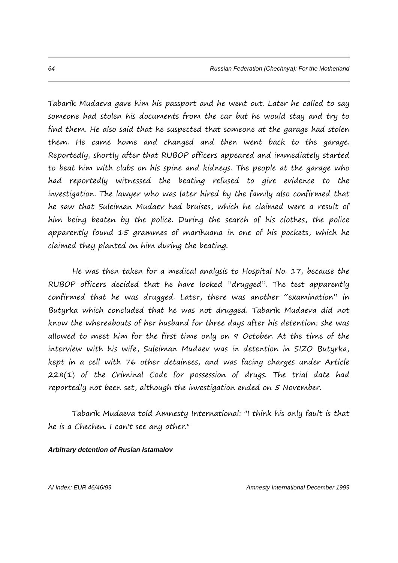Tabarik Mudaeva gave him his passport and he went out. Later he called to say someone had stolen his documents from the car but he would stay and try to find them. He also said that he suspected that someone at the garage had stolen them. He came home and changed and then went back to the garage. Reportedly, shortly after that RUBOP officers appeared and immediately started to beat him with clubs on his spine and kidneys. The people at the garage who had reportedly witnessed the beating refused to give evidence to the investigation. The lawyer who was later hired by the family also confirmed that he saw that Suleiman Mudaev had bruises, which he claimed were a result of him being beaten by the police. During the search of his clothes, the police apparently found 15 grammes of marihuana in one of his pockets, which he claimed they planted on him during the beating.

He was then taken for a medical analysis to Hospital No. 17, because the RUBOP officers decided that he have looked "drugged". The test apparently confirmed that he was drugged. Later, there was another "examination" in Butyrka which concluded that he was not drugged. Tabarik Mudaeva did not know the whereabouts of her husband for three days after his detention; she was allowed to meet him for the first time only on 9 October. At the time of the interview with his wife, Suleiman Mudaev was in detention in SIZO Butyrka, kept in a cell with 76 other detainees, and was facing charges under Article 228(1) of the Criminal Code for possession of drugs. The trial date had reportedly not been set, although the investigation ended on 5 November.

Tabarik Mudaeva told Amnesty International: "I think his only fault is that he is a Chechen. I can't see any other."

#### *Arbitrary detention of Ruslan Istamalov*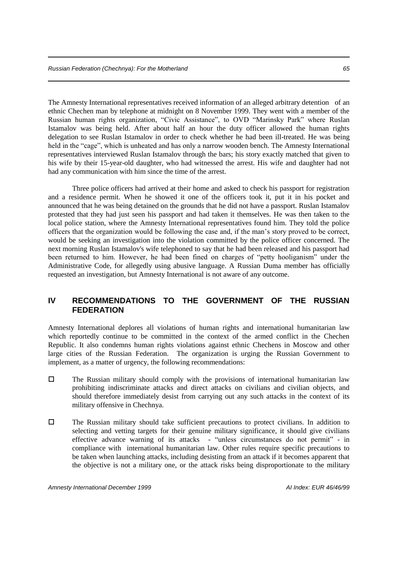The Amnesty International representatives received information of an alleged arbitrary detention of an ethnic Chechen man by telephone at midnight on 8 November 1999. They went with a member of the Russian human rights organization, "Civic Assistance", to OVD "Marinsky Park" where Ruslan Istamalov was being held. After about half an hour the duty officer allowed the human rights delegation to see Ruslan Istamalov in order to check whether he had been ill-treated. He was being held in the "cage", which is unheated and has only a narrow wooden bench. The Amnesty International representatives interviewed Ruslan Istamalov through the bars; his story exactly matched that given to his wife by their 15-year-old daughter, who had witnessed the arrest. His wife and daughter had not had any communication with him since the time of the arrest.

Three police officers had arrived at their home and asked to check his passport for registration and a residence permit. When he showed it one of the officers took it, put it in his pocket and announced that he was being detained on the grounds that he did not have a passport. Ruslan Istamalov protested that they had just seen his passport and had taken it themselves. He was then taken to the local police station, where the Amnesty International representatives found him. They told the police officers that the organization would be following the case and, if the man's story proved to be correct, would be seeking an investigation into the violation committed by the police officer concerned. The next morning Ruslan Istamalov's wife telephoned to say that he had been released and his passport had been returned to him. However, he had been fined on charges of "petty hooliganism" under the Administrative Code, for allegedly using abusive language. A Russian Duma member has officially requested an investigation, but Amnesty International is not aware of any outcome.

# **IV RECOMMENDATIONS TO THE GOVERNMENT OF THE RUSSIAN FEDERATION**

Amnesty International deplores all violations of human rights and international humanitarian law which reportedly continue to be committed in the context of the armed conflict in the Chechen Republic. It also condemns human rights violations against ethnic Chechens in Moscow and other large cities of the Russian Federation. The organization is urging the Russian Government to implement, as a matter of urgency, the following recommendations:

- $\square$  The Russian military should comply with the provisions of international humanitarian law prohibiting indiscriminate attacks and direct attacks on civilians and civilian objects, and should therefore immediately desist from carrying out any such attacks in the context of its military offensive in Chechnya.
- The Russian military should take sufficient precautions to protect civilians. In addition to selecting and vetting targets for their genuine military significance, it should give civilians effective advance warning of its attacks - "unless circumstances do not permit" - in compliance with international humanitarian law. Other rules require specific precautions to be taken when launching attacks, including desisting from an attack if it becomes apparent that the objective is not a military one, or the attack risks being disproportionate to the military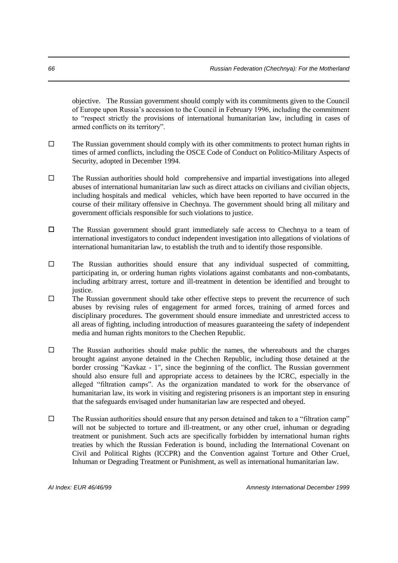objective. The Russian government should comply with its commitments given to the Council of Europe upon Russia's accession to the Council in February 1996, including the commitment to "respect strictly the provisions of international humanitarian law, including in cases of armed conflicts on its territory".

- $\Box$  The Russian government should comply with its other commitments to protect human rights in times of armed conflicts, including the OSCE Code of Conduct on Politico-Military Aspects of Security, adopted in December 1994.
- $\square$  The Russian authorities should hold comprehensive and impartial investigations into alleged abuses of international humanitarian law such as direct attacks on civilians and civilian objects, including hospitals and medical vehicles, which have been reported to have occurred in the course of their military offensive in Chechnya. The government should bring all military and government officials responsible for such violations to justice.
- $\square$  The Russian government should grant immediately safe access to Chechnya to a team of international investigators to conduct independent investigation into allegations of violations of international humanitarian law, to establish the truth and to identify those responsible.
- $\square$  The Russian authorities should ensure that any individual suspected of committing, participating in, or ordering human rights violations against combatants and non-combatants, including arbitrary arrest, torture and ill-treatment in detention be identified and brought to justice.
- $\square$  The Russian government should take other effective steps to prevent the recurrence of such abuses by revising rules of engagement for armed forces, training of armed forces and disciplinary procedures. The government should ensure immediate and unrestricted access to all areas of fighting, including introduction of measures guaranteeing the safety of independent media and human rights monitors to the Chechen Republic.
- $\square$  The Russian authorities should make public the names, the whereabouts and the charges brought against anyone detained in the Chechen Republic, including those detained at the border crossing "Kavkaz - 1", since the beginning of the conflict. The Russian government should also ensure full and appropriate access to detainees by the ICRC, especially in the alleged "filtration camps". As the organization mandated to work for the observance of humanitarian law, its work in visiting and registering prisoners is an important step in ensuring that the safeguards envisaged under humanitarian law are respected and obeyed.
- $\square$  The Russian authorities should ensure that any person detained and taken to a "filtration camp" will not be subjected to torture and ill-treatment, or any other cruel, inhuman or degrading treatment or punishment. Such acts are specifically forbidden by international human rights treaties by which the Russian Federation is bound, including the International Covenant on Civil and Political Rights (ICCPR) and the Convention against Torture and Other Cruel, Inhuman or Degrading Treatment or Punishment, as well as international humanitarian law.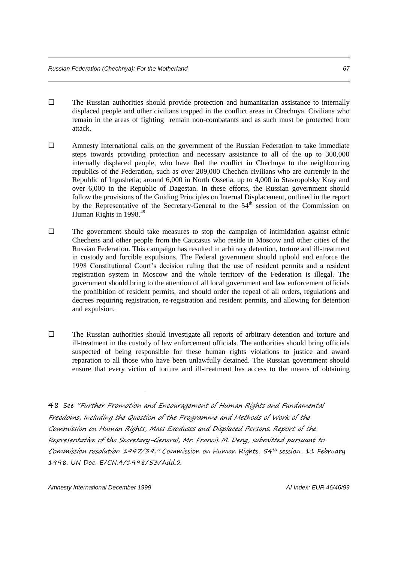- $\square$  The Russian authorities should provide protection and humanitarian assistance to internally displaced people and other civilians trapped in the conflict areas in Chechnya. Civilians who remain in the areas of fighting remain non-combatants and as such must be protected from attack.
- Amnesty International calls on the government of the Russian Federation to take immediate steps towards providing protection and necessary assistance to all of the up to 300,000 internally displaced people, who have fled the conflict in Chechnya to the neighbouring republics of the Federation, such as over 209,000 Chechen civilians who are currently in the Republic of Ingushetia; around 6,000 in North Ossetia, up to 4,000 in Stavropolsky Kray and over 6,000 in the Republic of Dagestan. In these efforts, the Russian government should follow the provisions of the Guiding Principles on Internal Displacement, outlined in the report by the Representative of the Secretary-General to the 54<sup>th</sup> session of the Commission on Human Rights in 1998.<sup>48</sup>
- $\square$  The government should take measures to stop the campaign of intimidation against ethnic Chechens and other people from the Caucasus who reside in Moscow and other cities of the Russian Federation. This campaign has resulted in arbitrary detention, torture and ill-treatment in custody and forcible expulsions. The Federal government should uphold and enforce the 1998 Constitutional Court's decision ruling that the use of resident permits and a resident registration system in Moscow and the whole territory of the Federation is illegal. The government should bring to the attention of all local government and law enforcement officials the prohibition of resident permits, and should order the repeal of all orders, regulations and decrees requiring registration, re-registration and resident permits, and allowing for detention and expulsion.
- $\square$  The Russian authorities should investigate all reports of arbitrary detention and torture and ill-treatment in the custody of law enforcement officials. The authorities should bring officials suspected of being responsible for these human rights violations to justice and award reparation to all those who have been unlawfully detained. The Russian government should ensure that every victim of torture and ill-treatment has access to the means of obtaining

<sup>48</sup> See "Further Promotion and Encouragement of Human Rights and Fundamental Freedoms, Including the Question of the Programme and Methods of Work of the Commission on Human Rights, Mass Exoduses and Displaced Persons. Report of the Representative of the Secretary-General, Mr. Francis M. Deng, submitted pursuant to Commission resolution 1997/39," Commission on Human Rights, 54th session, 11 February 1998. UN Doc. E/CN.4/1998/53/Add.2.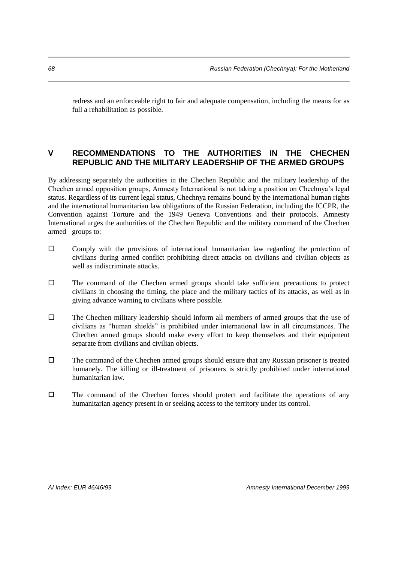redress and an enforceable right to fair and adequate compensation, including the means for as full a rehabilitation as possible.

# **V RECOMMENDATIONS TO THE AUTHORITIES IN THE CHECHEN REPUBLIC AND THE MILITARY LEADERSHIP OF THE ARMED GROUPS**

By addressing separately the authorities in the Chechen Republic and the military leadership of the Chechen armed opposition groups, Amnesty International is not taking a position on Chechnya's legal status. Regardless of its current legal status, Chechnya remains bound by the international human rights and the international humanitarian law obligations of the Russian Federation, including the ICCPR, the Convention against Torture and the 1949 Geneva Conventions and their protocols. Amnesty International urges the authorities of the Chechen Republic and the military command of the Chechen armed groups to:

- $\square$  Comply with the provisions of international humanitarian law regarding the protection of civilians during armed conflict prohibiting direct attacks on civilians and civilian objects as well as indiscriminate attacks.
- $\Box$  The command of the Chechen armed groups should take sufficient precautions to protect civilians in choosing the timing, the place and the military tactics of its attacks, as well as in giving advance warning to civilians where possible.
- $\square$  The Chechen military leadership should inform all members of armed groups that the use of civilians as "human shields" is prohibited under international law in all circumstances. The Chechen armed groups should make every effort to keep themselves and their equipment separate from civilians and civilian objects.
- $\Box$  The command of the Chechen armed groups should ensure that any Russian prisoner is treated humanely. The killing or ill-treatment of prisoners is strictly prohibited under international humanitarian law.
- $\square$  The command of the Chechen forces should protect and facilitate the operations of any humanitarian agency present in or seeking access to the territory under its control.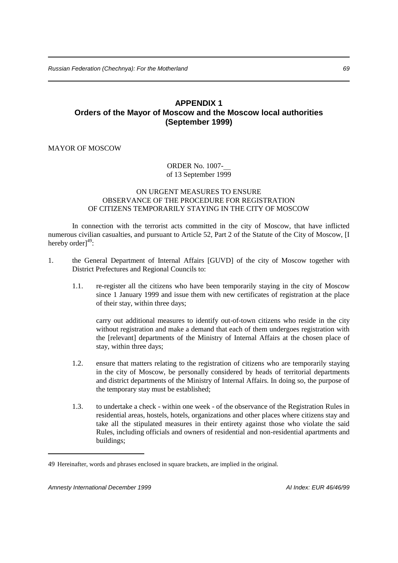# **APPENDIX 1 Orders of the Mayor of Moscow and the Moscow local authorities (September 1999)**

### MAYOR OF MOSCOW

### ORDER No. 1007 of 13 September 1999

### ON URGENT MEASURES TO ENSURE OBSERVANCE OF THE PROCEDURE FOR REGISTRATION OF CITIZENS TEMPORARILY STAYING IN THE CITY OF MOSCOW

In connection with the terrorist acts committed in the city of Moscow, that have inflicted numerous civilian casualties, and pursuant to Article 52, Part 2 of the Statute of the City of Moscow, [I hereby order]<sup>49</sup>:

- 1. the General Department of Internal Affairs [GUVD] of the city of Moscow together with District Prefectures and Regional Councils to:
	- 1.1. re-register all the citizens who have been temporarily staying in the city of Moscow since 1 January 1999 and issue them with new certificates of registration at the place of their stay, within three days;

carry out additional measures to identify out-of-town citizens who reside in the city without registration and make a demand that each of them undergoes registration with the [relevant] departments of the Ministry of Internal Affairs at the chosen place of stay, within three days;

- 1.2. ensure that matters relating to the registration of citizens who are temporarily staying in the city of Moscow, be personally considered by heads of territorial departments and district departments of the Ministry of Internal Affairs. In doing so, the purpose of the temporary stay must be established;
- 1.3. to undertake a check within one week of the observance of the Registration Rules in residential areas, hostels, hotels, organizations and other places where citizens stay and take all the stipulated measures in their entirety against those who violate the said Rules, including officials and owners of residential and non-residential apartments and buildings;

<sup>49</sup> Hereinafter, words and phrases enclosed in square brackets, are implied in the original.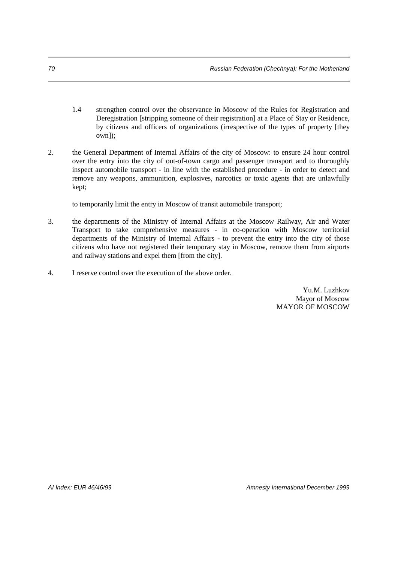- 1.4 strengthen control over the observance in Moscow of the Rules for Registration and Deregistration [stripping someone of their registration] at a Place of Stay or Residence, by citizens and officers of organizations (irrespective of the types of property [they own]);
- 2. the General Department of Internal Affairs of the city of Moscow: to ensure 24 hour control over the entry into the city of out-of-town cargo and passenger transport and to thoroughly inspect automobile transport - in line with the established procedure - in order to detect and remove any weapons, ammunition, explosives, narcotics or toxic agents that are unlawfully kept;

to temporarily limit the entry in Moscow of transit automobile transport;

- 3. the departments of the Ministry of Internal Affairs at the Moscow Railway, Air and Water Transport to take comprehensive measures - in co-operation with Moscow territorial departments of the Ministry of Internal Affairs - to prevent the entry into the city of those citizens who have not registered their temporary stay in Moscow, remove them from airports and railway stations and expel them [from the city].
- 4. I reserve control over the execution of the above order.

Yu.M. Luzhkov Mayor of Moscow MAYOR OF MOSCOW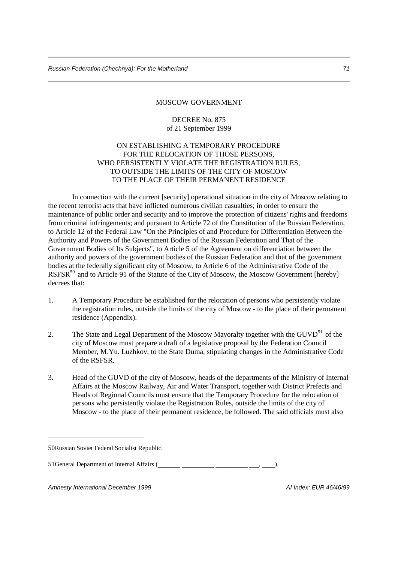#### MOSCOW GOVERNMENT

# DECREE No. 875 of 21 September 1999

# ON ESTABLISHING A TEMPORARY PROCEDURE FOR THE RELOCATION OF THOSE PERSONS. WHO PERSISTENTLY VIOLATE THE REGISTRATION RULES, TO OUTSIDE THE LIMITS OF THE CITY OF MOSCOW TO THE PLACE OF THEIR PERMANENT RESIDENCE

In connection with the current [security] operational situation in the city of Moscow relating to the recent terrorist acts that have inflicted numerous civilian casualties; in order to ensure the maintenance of public order and security and to improve the protection of citizens' rights and freedoms from criminal infringements; and pursuant to Article 72 of the Constitution of the Russian Federation, to Article 12 of the Federal Law "On the Principles of and Procedure for Differentiation Between the Authority and Powers of the Government Bodies of the Russian Federation and That of the Government Bodies of Its Subjects", to Article 5 of the Agreement on differentiation between the authority and powers of the government bodies of the Russian Federation and that of the government bodies at the federally significant city of Moscow, to Article 6 of the Administrative Code of the RSFSR<sup>50</sup> and to Article 91 of the Statute of the City of Moscow, the Moscow Government [hereby] decrees that:

- 1. A Temporary Procedure be established for the relocation of persons who persistently violate the registration rules, outside the limits of the city of Moscow - to the place of their permanent residence (Appendix).
- 2. The State and Legal Department of the Moscow Mayoralty together with the GUVD<sup>51</sup> of the city of Moscow must prepare a draft of a legislative proposal by the Federation Council Member, M.Yu. Luzhkov, to the State Duma, stipulating changes in the Administrative Code of the RSFSR.
- 3. Head of the GUVD of the city of Moscow, heads of the departments of the Ministry of Internal Affairs at the Moscow Railway, Air and Water Transport, together with District Prefects and Heads of Regional Councils must ensure that the Temporary Procedure for the relocation of persons who persistently violate the Registration Rules, outside the limits of the city of Moscow - to the place of their permanent residence, be followed. The said officials must also

-

51General Department of Internal Affairs ( , ).

*Amnesty International December 1999 AI Index: EUR 46/46/99*

<sup>50</sup>Russian Soviet Federal Socialist Republic.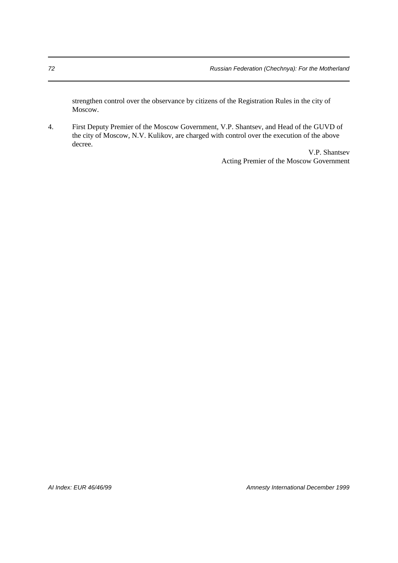strengthen control over the observance by citizens of the Registration Rules in the city of Moscow.

4. First Deputy Premier of the Moscow Government, V.P. Shantsev, and Head of the GUVD of the city of Moscow, N.V. Kulikov, are charged with control over the execution of the above decree.

> V.P. Shantsev Acting Premier of the Moscow Government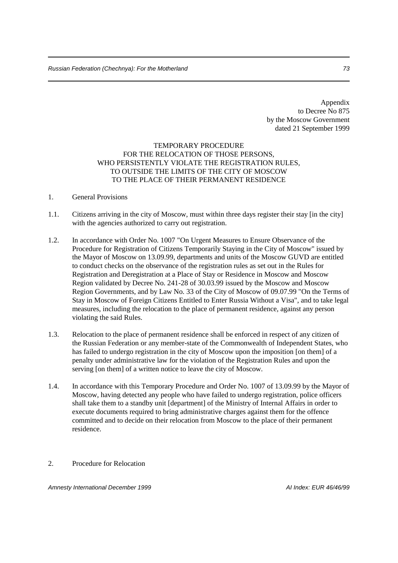Appendix to Decree No 875 by the Moscow Government dated 21 September 1999

## TEMPORARY PROCEDURE FOR THE RELOCATION OF THOSE PERSONS. WHO PERSISTENTLY VIOLATE THE REGISTRATION RULES, TO OUTSIDE THE LIMITS OF THE CITY OF MOSCOW TO THE PLACE OF THEIR PERMANENT RESIDENCE

## 1. General Provisions

- 1.1. Citizens arriving in the city of Moscow, must within three days register their stay [in the city] with the agencies authorized to carry out registration.
- 1.2. In accordance with Order No. 1007 "On Urgent Measures to Ensure Observance of the Procedure for Registration of Citizens Temporarily Staying in the City of Moscow" issued by the Mayor of Moscow on 13.09.99, departments and units of the Moscow GUVD are entitled to conduct checks on the observance of the registration rules as set out in the Rules for Registration and Deregistration at a Place of Stay or Residence in Moscow and Moscow Region validated by Decree No. 241-28 of 30.03.99 issued by the Moscow and Moscow Region Governments, and by Law No. 33 of the City of Moscow of 09.07.99 "On the Terms of Stay in Moscow of Foreign Citizens Entitled to Enter Russia Without a Visa", and to take legal measures, including the relocation to the place of permanent residence, against any person violating the said Rules.
- 1.3. Relocation to the place of permanent residence shall be enforced in respect of any citizen of the Russian Federation or any member-state of the Commonwealth of Independent States, who has failed to undergo registration in the city of Moscow upon the imposition [on them] of a penalty under administrative law for the violation of the Registration Rules and upon the serving [on them] of a written notice to leave the city of Moscow.
- 1.4. In accordance with this Temporary Procedure and Order No. 1007 of 13.09.99 by the Mayor of Moscow, having detected any people who have failed to undergo registration, police officers shall take them to a standby unit [department] of the Ministry of Internal Affairs in order to execute documents required to bring administrative charges against them for the offence committed and to decide on their relocation from Moscow to the place of their permanent residence.
- 2. Procedure for Relocation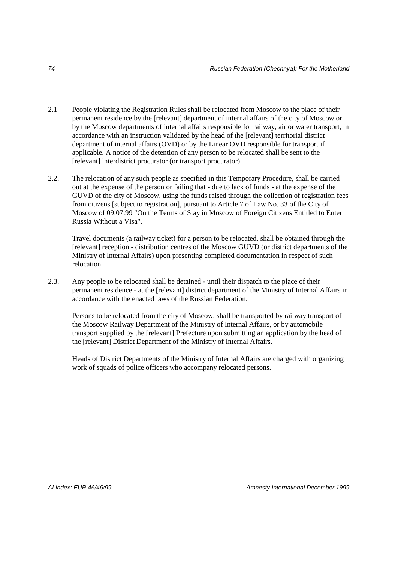- 2.1 People violating the Registration Rules shall be relocated from Moscow to the place of their permanent residence by the [relevant] department of internal affairs of the city of Moscow or by the Moscow departments of internal affairs responsible for railway, air or water transport, in accordance with an instruction validated by the head of the [relevant] territorial district department of internal affairs (OVD) or by the Linear OVD responsible for transport if applicable. A notice of the detention of any person to be relocated shall be sent to the [relevant] interdistrict procurator (or transport procurator).
- 2.2. The relocation of any such people as specified in this Temporary Procedure, shall be carried out at the expense of the person or failing that - due to lack of funds - at the expense of the GUVD of the city of Moscow, using the funds raised through the collection of registration fees from citizens [subject to registration], pursuant to Article 7 of Law No. 33 of the City of Moscow of 09.07.99 "On the Terms of Stay in Moscow of Foreign Citizens Entitled to Enter Russia Without a Visa".

Travel documents (a railway ticket) for a person to be relocated, shall be obtained through the [relevant] reception - distribution centres of the Moscow GUVD (or district departments of the Ministry of Internal Affairs) upon presenting completed documentation in respect of such relocation.

2.3. Any people to be relocated shall be detained - until their dispatch to the place of their permanent residence - at the [relevant] district department of the Ministry of Internal Affairs in accordance with the enacted laws of the Russian Federation.

Persons to be relocated from the city of Moscow, shall be transported by railway transport of the Moscow Railway Department of the Ministry of Internal Affairs, or by automobile transport supplied by the [relevant] Prefecture upon submitting an application by the head of the [relevant] District Department of the Ministry of Internal Affairs.

Heads of District Departments of the Ministry of Internal Affairs are charged with organizing work of squads of police officers who accompany relocated persons.